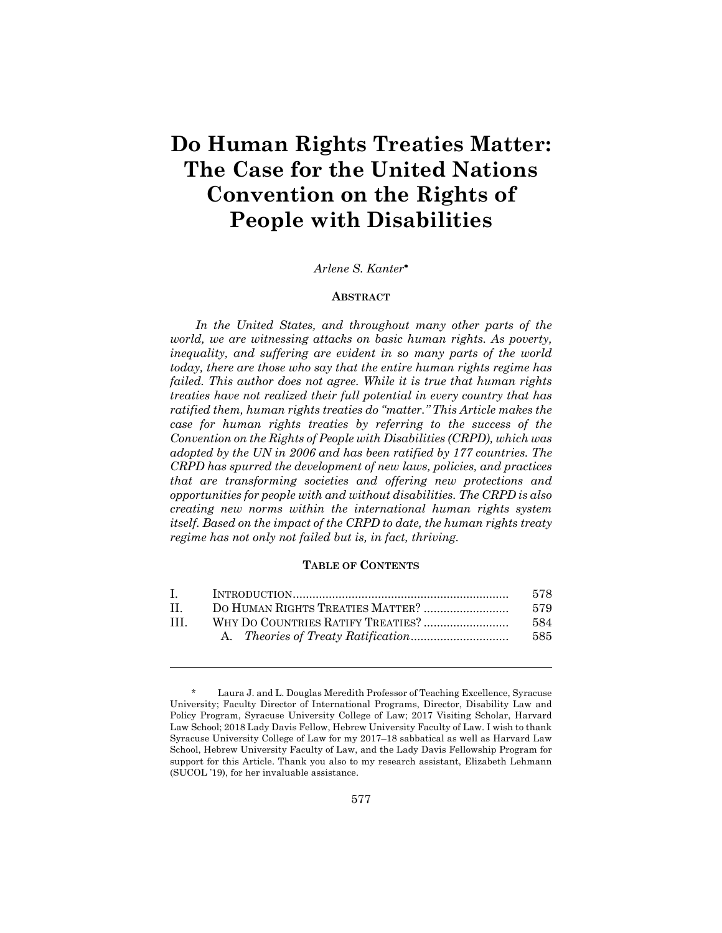# **Do Human Rights Treaties Matter: The Case for the United Nations Convention on the Rights of People with Disabilities**

### *Arlene S. Kanter*\*

#### **ABSTRACT**

*In the United States, and throughout many other parts of the world, we are witnessing attacks on basic human rights. As poverty, inequality, and suffering are evident in so many parts of the world today, there are those who say that the entire human rights regime has failed. This author does not agree. While it is true that human rights treaties have not realized their full potential in every country that has ratified them, human rights treaties do "matter." This Article makes the case for human rights treaties by referring to the success of the Convention on the Rights of People with Disabilities (CRPD), which was adopted by the UN in 2006 and has been ratified by 177 countries. The CRPD has spurred the development of new laws, policies, and practices that are transforming societies and offering new protections and opportunities for people with and without disabilities. The CRPD is also creating new norms within the international human rights system itself. Based on the impact of the CRPD to date, the human rights treaty regime has not only not failed but is, in fact, thriving.* 

#### **TABLE OF CONTENTS**

| 578 |
|-----|
| 579 |
| 584 |
| 585 |
|     |

Laura J. and L. Douglas Meredith Professor of Teaching Excellence, Syracuse University; Faculty Director of International Programs, Director, Disability Law and Policy Program, Syracuse University College of Law; 2017 Visiting Scholar, Harvard Law School; 2018 Lady Davis Fellow, Hebrew University Faculty of Law. I wish to thank Syracuse University College of Law for my 2017–18 sabbatical as well as Harvard Law School, Hebrew University Faculty of Law, and the Lady Davis Fellowship Program for support for this Article. Thank you also to my research assistant, Elizabeth Lehmann (SUCOL '19), for her invaluable assistance.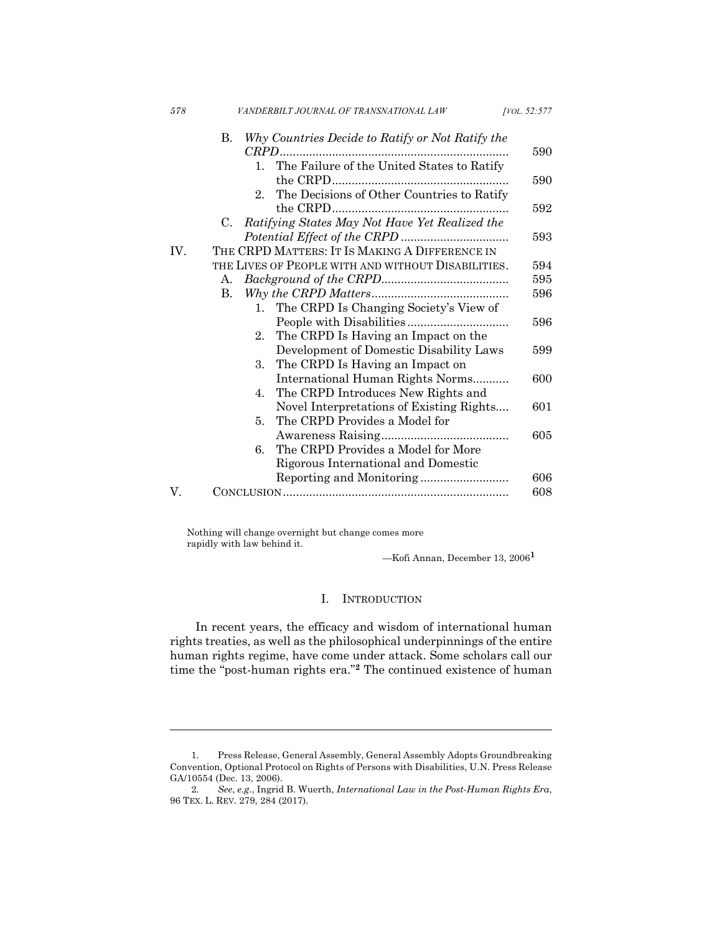| 578 | VANDERBILT JOURNAL OF TRANSNATIONAL LAW                | [VOL. 52:577] |
|-----|--------------------------------------------------------|---------------|
|     | Why Countries Decide to Ratify or Not Ratify the<br>B. | 590           |
|     | The Failure of the United States to Ratify<br>$1_{-}$  |               |
|     | the CRPD                                               | 590           |
|     | The Decisions of Other Countries to Ratify<br>$2_{-}$  |               |
|     |                                                        | 592           |
|     | Ratifying States May Not Have Yet Realized the<br>C.   |               |
|     |                                                        | 593           |
| IV. | THE CRPD MATTERS: IT IS MAKING A DIFFERENCE IN         |               |
|     | THE LIVES OF PEOPLE WITH AND WITHOUT DISABILITIES.     | 594           |
|     | A.                                                     | 595           |
|     | <b>B.</b>                                              | 596           |
|     | The CRPD Is Changing Society's View of<br>$1_{\cdot}$  |               |
|     |                                                        | 596           |
|     | The CRPD Is Having an Impact on the<br>2.              |               |
|     | Development of Domestic Disability Laws                | 599           |
|     | The CRPD Is Having an Impact on<br>3.                  |               |
|     | International Human Rights Norms                       | 600           |
|     | The CRPD Introduces New Rights and<br>4.               |               |
|     | Novel Interpretations of Existing Rights               | 601           |
|     | The CRPD Provides a Model for<br>5.                    |               |
|     |                                                        | 605           |
|     | The CRPD Provides a Model for More<br>6.               |               |
|     | Rigorous International and Domestic                    |               |
|     |                                                        | 606           |
| V.  |                                                        | 608           |
|     |                                                        |               |

Nothing will change overnight but change comes more rapidly with law behind it.

l

—Kofi Annan, December 13, 2006**<sup>1</sup>**

# I. INTRODUCTION

In recent years, the efficacy and wisdom of international human rights treaties, as well as the philosophical underpinnings of the entire human rights regime, have come under attack. Some scholars call our time the "post-human rights era."**<sup>2</sup>** The continued existence of human

<sup>1.</sup> Press Release, General Assembly, General Assembly Adopts Groundbreaking Convention, Optional Protocol on Rights of Persons with Disabilities, U.N. Press Release GA/10554 (Dec. 13, 2006).

<sup>2.</sup> *See*, *e.g*., Ingrid B. Wuerth, *International Law in the Post-Human Rights Era*, 96 TEX. L. REV. 279, 284 (2017).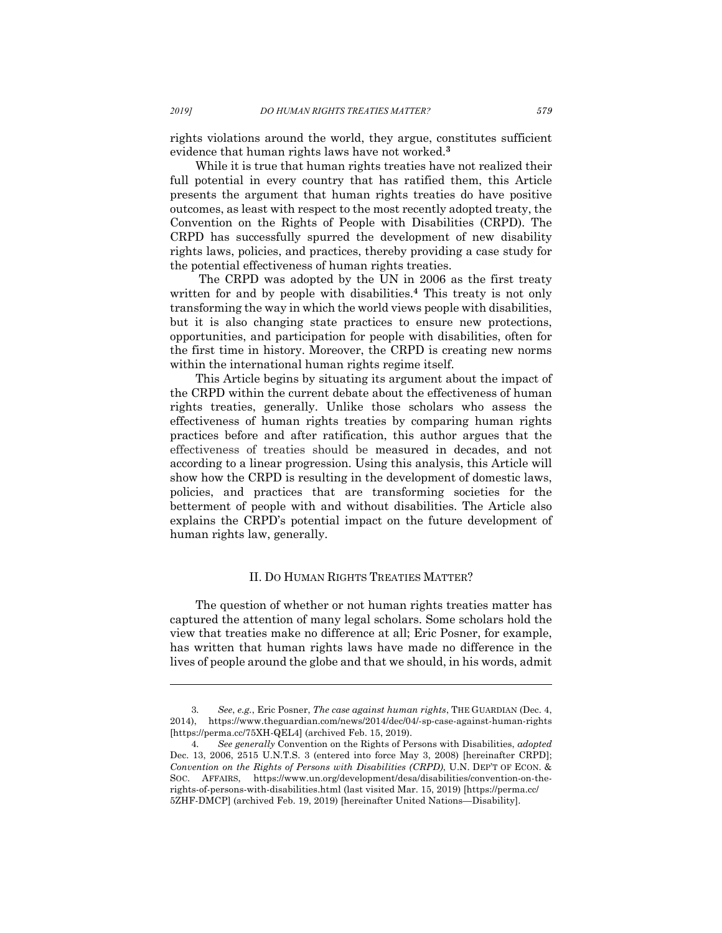rights violations around the world, they argue, constitutes sufficient evidence that human rights laws have not worked. **3**

While it is true that human rights treaties have not realized their full potential in every country that has ratified them, this Article presents the argument that human rights treaties do have positive outcomes, as least with respect to the most recently adopted treaty, the Convention on the Rights of People with Disabilities (CRPD). The CRPD has successfully spurred the development of new disability rights laws, policies, and practices, thereby providing a case study for the potential effectiveness of human rights treaties.

The CRPD was adopted by the UN in 2006 as the first treaty written for and by people with disabilities.**<sup>4</sup>** This treaty is not only transforming the way in which the world views people with disabilities, but it is also changing state practices to ensure new protections, opportunities, and participation for people with disabilities, often for the first time in history. Moreover, the CRPD is creating new norms within the international human rights regime itself.

This Article begins by situating its argument about the impact of the CRPD within the current debate about the effectiveness of human rights treaties, generally. Unlike those scholars who assess the effectiveness of human rights treaties by comparing human rights practices before and after ratification, this author argues that the effectiveness of treaties should be measured in decades, and not according to a linear progression. Using this analysis, this Article will show how the CRPD is resulting in the development of domestic laws, policies, and practices that are transforming societies for the betterment of people with and without disabilities. The Article also explains the CRPD's potential impact on the future development of human rights law, generally.

## II. DO HUMAN RIGHTS TREATIES MATTER?

The question of whether or not human rights treaties matter has captured the attention of many legal scholars. Some scholars hold the view that treaties make no difference at all; Eric Posner, for example, has written that human rights laws have made no difference in the lives of people around the globe and that we should, in his words, admit

<sup>3.</sup> *See*, *e.g.*, Eric Posner, *The case against human rights*, THE GUARDIAN (Dec. 4, 2014), https://www.theguardian.com/news/2014/dec/04/-sp-case-against-human-rights [https://perma.cc/75XH-QEL4] (archived Feb. 15, 2019).

<sup>4.</sup> *See generally* Convention on the Rights of Persons with Disabilities, *adopted*  Dec. 13, 2006, 2515 U.N.T.S. 3 (entered into force May 3, 2008) [hereinafter CRPD]; *Convention on the Rights of Persons with Disabilities (CRPD)*, U.N. DEP'T OF ECON. & SOC. AFFAIRS, https://www.un.org/development/desa/disabilities/convention-on-therights-of-persons-with-disabilities.html (last visited Mar. 15, 2019) [https://perma.cc/ 5ZHF-DMCP] (archived Feb. 19, 2019) [hereinafter United Nations—Disability].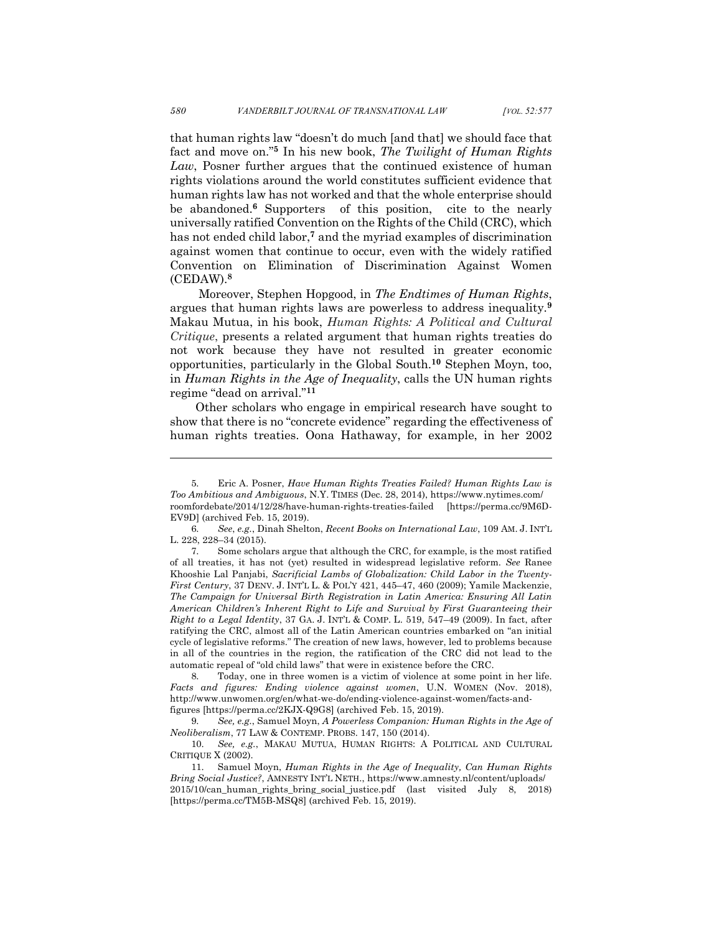that human rights law "doesn't do much [and that] we should face that fact and move on."**<sup>5</sup>** In his new book, *The Twilight of Human Rights Law*, Posner further argues that the continued existence of human rights violations around the world constitutes sufficient evidence that human rights law has not worked and that the whole enterprise should be abandoned.**<sup>6</sup>** Supporters of this position, cite to the nearly universally ratified Convention on the Rights of the Child (CRC), which has not ended child labor, **<sup>7</sup>** and the myriad examples of discrimination against women that continue to occur, even with the widely ratified Convention on Elimination of Discrimination Against Women (CEDAW). **8**

Moreover, Stephen Hopgood, in *The Endtimes of Human Rights*, argues that human rights laws are powerless to address inequality.**<sup>9</sup>** Makau Mutua, in his book, *Human Rights: A Political and Cultural Critique*, presents a related argument that human rights treaties do not work because they have not resulted in greater economic opportunities, particularly in the Global South.**<sup>10</sup>** Stephen Moyn, too, in *Human Rights in the Age of Inequality*, calls the UN human rights regime "dead on arrival."**<sup>11</sup>**

Other scholars who engage in empirical research have sought to show that there is no "concrete evidence" regarding the effectiveness of human rights treaties. Oona Hathaway, for example, in her 2002

<sup>5.</sup> Eric A. Posner, *Have Human Rights Treaties Failed? Human Rights Law is Too Ambitious and Ambiguous*, N.Y. TIMES (Dec. 28, 2014), https://www.nytimes.com/ roomfordebate/2014/12/28/have-human-rights-treaties-failed [https://perma.cc/9M6D-EV9D] (archived Feb. 15, 2019).

<sup>6.</sup> *See*, *e.g.*, Dinah Shelton, *Recent Books on International Law*, 109 AM. J. INT'L L. 228, 228–34 (2015).

<sup>7.</sup> Some scholars argue that although the CRC, for example, is the most ratified of all treaties, it has not (yet) resulted in widespread legislative reform. *See* Ranee Khooshie Lal Panjabi, *Sacrificial Lambs of Globalization: Child Labor in the Twenty-First Century*, 37 DENV. J. INT'L L. & POL'Y 421, 445–47, 460 (2009); Yamile Mackenzie, *The Campaign for Universal Birth Registration in Latin America: Ensuring All Latin American Children's Inherent Right to Life and Survival by First Guaranteeing their Right to a Legal Identity*, 37 GA. J. INT'L & COMP. L. 519, 547–49 (2009). In fact, after ratifying the CRC, almost all of the Latin American countries embarked on "an initial cycle of legislative reforms." The creation of new laws, however, led to problems because in all of the countries in the region, the ratification of the CRC did not lead to the automatic repeal of "old child laws" that were in existence before the CRC.

<sup>8.</sup> Today, one in three women is a victim of violence at some point in her life. *Facts and figures: Ending violence against women*, U.N. WOMEN (Nov. 2018), http://www.unwomen.org/en/what-we-do/ending-violence-against-women/facts-andfigures [https://perma.cc/2KJX-Q9G8] (archived Feb. 15, 2019).

<sup>9.</sup> *See, e.g.*, Samuel Moyn, *A Powerless Companion: Human Rights in the Age of Neoliberalism*, 77 LAW & CONTEMP. PROBS. 147, 150 (2014).

<sup>10.</sup> *See, e.g.*, MAKAU MUTUA, HUMAN RIGHTS: A POLITICAL AND CULTURAL CRITIQUE X (2002).

<sup>11.</sup> Samuel Moyn, *Human Rights in the Age of Inequality, Can Human Rights Bring Social Justice?*, AMNESTY INT'L NETH., https://www.amnesty.nl/content/uploads/ 2015/10/can\_human\_rights\_bring\_social\_justice.pdf (last visited July 8, 2018) [https://perma.cc/TM5B-MSQ8] (archived Feb. 15, 2019).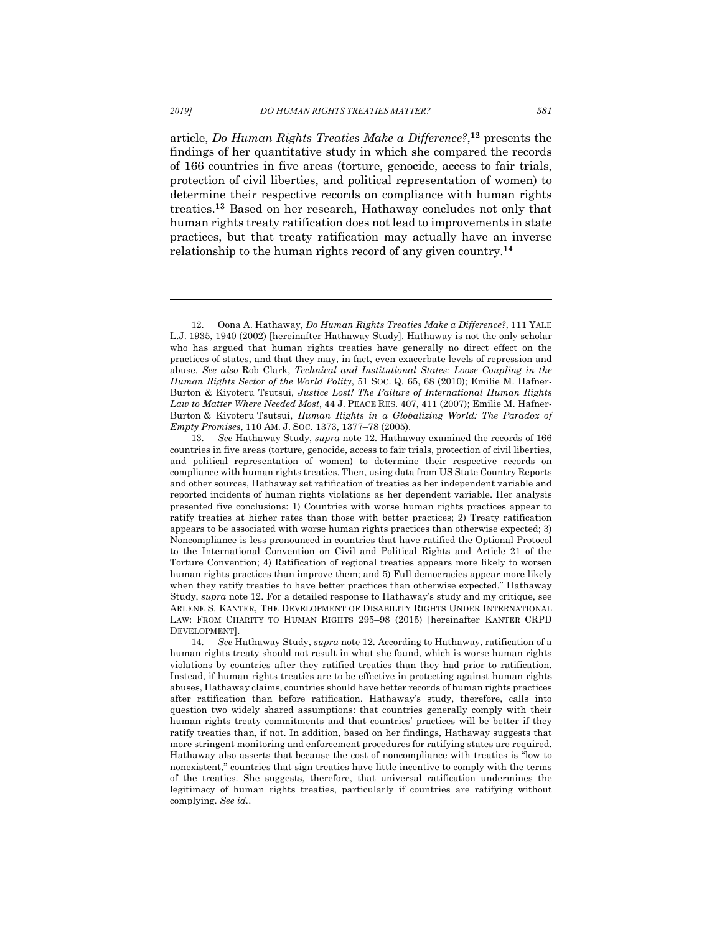article, *Do Human Rights Treaties Make a Difference?*, **<sup>12</sup>** presents the findings of her quantitative study in which she compared the records of 166 countries in five areas (torture, genocide, access to fair trials, protection of civil liberties, and political representation of women) to determine their respective records on compliance with human rights treaties.**<sup>13</sup>** Based on her research, Hathaway concludes not only that human rights treaty ratification does not lead to improvements in state practices, but that treaty ratification may actually have an inverse relationship to the human rights record of any given country.**<sup>14</sup>**

 $\overline{a}$ 

<sup>12.</sup> Oona A. Hathaway, *Do Human Rights Treaties Make a Difference?*, 111 YALE L.J. 1935, 1940 (2002) [hereinafter Hathaway Study]. Hathaway is not the only scholar who has argued that human rights treaties have generally no direct effect on the practices of states, and that they may, in fact, even exacerbate levels of repression and abuse. *See also* Rob Clark, *Technical and Institutional States: Loose Coupling in the Human Rights Sector of the World Polity*, 51 SOC. Q. 65, 68 (2010); Emilie M. Hafner-Burton & Kiyoteru Tsutsui, *Justice Lost! The Failure of International Human Rights Law to Matter Where Needed Most*, 44 J. PEACE RES. 407, 411 (2007); Emilie M. Hafner-Burton & Kiyoteru Tsutsui, *Human Rights in a Globalizing World: The Paradox of Empty Promises*, 110 AM. J. SOC. 1373, 1377–78 (2005).

<sup>13.</sup> *See* Hathaway Study, *supra* note 12*.* Hathaway examined the records of 166 countries in five areas (torture, genocide, access to fair trials, protection of civil liberties, and political representation of women) to determine their respective records on compliance with human rights treaties. Then, using data from US State Country Reports and other sources, Hathaway set ratification of treaties as her independent variable and reported incidents of human rights violations as her dependent variable. Her analysis presented five conclusions: 1) Countries with worse human rights practices appear to ratify treaties at higher rates than those with better practices; 2) Treaty ratification appears to be associated with worse human rights practices than otherwise expected; 3) Noncompliance is less pronounced in countries that have ratified the Optional Protocol to the International Convention on Civil and Political Rights and Article 21 of the Torture Convention; 4) Ratification of regional treaties appears more likely to worsen human rights practices than improve them; and 5) Full democracies appear more likely when they ratify treaties to have better practices than otherwise expected." Hathaway Study, *supra* note 12. For a detailed response to Hathaway's study and my critique, see ARLENE S. KANTER, THE DEVELOPMENT OF DISABILITY RIGHTS UNDER INTERNATIONAL LAW: FROM CHARITY TO HUMAN RIGHTS 295–98 (2015) [hereinafter KANTER CRPD DEVELOPMENT].

<sup>14.</sup> *See* Hathaway Study, *supra* note 12*.* According to Hathaway, ratification of a human rights treaty should not result in what she found, which is worse human rights violations by countries after they ratified treaties than they had prior to ratification. Instead, if human rights treaties are to be effective in protecting against human rights abuses, Hathaway claims, countries should have better records of human rights practices after ratification than before ratification. Hathaway's study, therefore, calls into question two widely shared assumptions: that countries generally comply with their human rights treaty commitments and that countries' practices will be better if they ratify treaties than, if not. In addition, based on her findings, Hathaway suggests that more stringent monitoring and enforcement procedures for ratifying states are required. Hathaway also asserts that because the cost of noncompliance with treaties is "low to nonexistent," countries that sign treaties have little incentive to comply with the terms of the treaties. She suggests, therefore, that universal ratification undermines the legitimacy of human rights treaties, particularly if countries are ratifying without complying. *See id.*.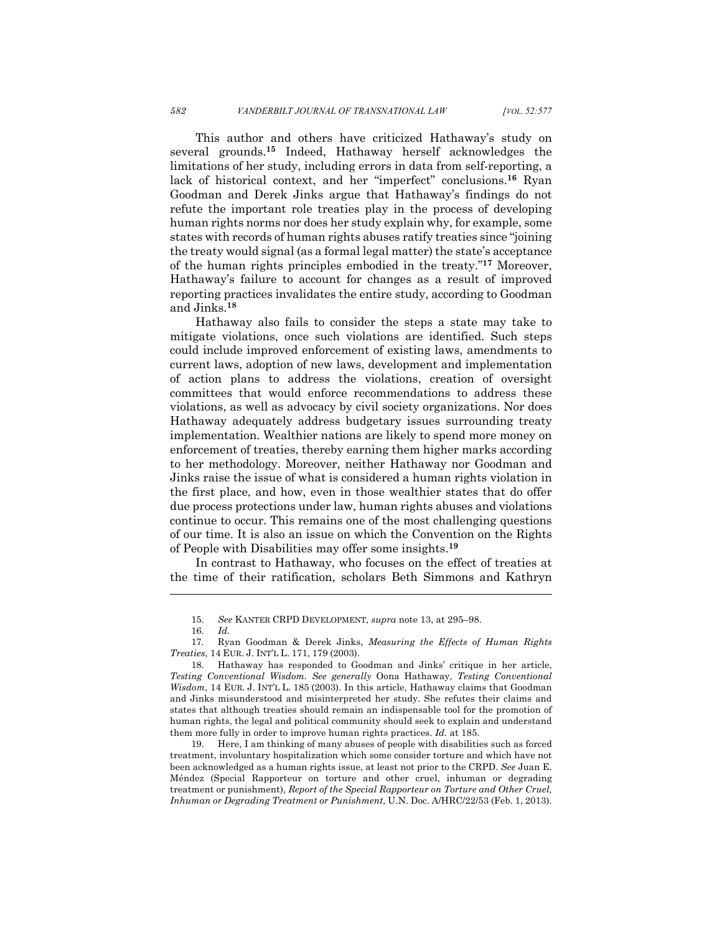This author and others have criticized Hathaway's study on several grounds.**<sup>15</sup>** Indeed, Hathaway herself acknowledges the limitations of her study, including errors in data from self-reporting, a lack of historical context, and her "imperfect" conclusions.**<sup>16</sup>** Ryan Goodman and Derek Jinks argue that Hathaway's findings do not refute the important role treaties play in the process of developing human rights norms nor does her study explain why, for example, some states with records of human rights abuses ratify treaties since "joining the treaty would signal (as a formal legal matter) the state's acceptance of the human rights principles embodied in the treaty."**<sup>17</sup>** Moreover, Hathaway's failure to account for changes as a result of improved reporting practices invalidates the entire study, according to Goodman and Jinks.**<sup>18</sup>**

Hathaway also fails to consider the steps a state may take to mitigate violations, once such violations are identified. Such steps could include improved enforcement of existing laws, amendments to current laws, adoption of new laws, development and implementation of action plans to address the violations, creation of oversight committees that would enforce recommendations to address these violations, as well as advocacy by civil society organizations. Nor does Hathaway adequately address budgetary issues surrounding treaty implementation. Wealthier nations are likely to spend more money on enforcement of treaties, thereby earning them higher marks according to her methodology. Moreover, neither Hathaway nor Goodman and Jinks raise the issue of what is considered a human rights violation in the first place, and how, even in those wealthier states that do offer due process protections under law, human rights abuses and violations continue to occur. This remains one of the most challenging questions of our time. It is also an issue on which the Convention on the Rights of People with Disabilities may offer some insights.**<sup>19</sup>**

In contrast to Hathaway, who focuses on the effect of treaties at the time of their ratification, scholars Beth Simmons and Kathryn

l

19. Here, I am thinking of many abuses of people with disabilities such as forced treatment, involuntary hospitalization which some consider torture and which have not been acknowledged as a human rights issue, at least not prior to the CRPD. *See* Juan E. Méndez (Special Rapporteur on torture and other cruel, inhuman or degrading treatment or punishment), *Report of the Special Rapporteur on Torture and Other Cruel, Inhuman or Degrading Treatment or Punishment,* U.N. Doc. A/HRC/22/53 (Feb. 1, 2013).

<sup>15.</sup> *See* KANTER CRPD DEVELOPMENT, *supra* note 13, at 295–98.

<sup>16.</sup> *Id.*

<sup>17.</sup> Ryan Goodman & Derek Jinks, *Measuring the Effects of Human Rights Treaties*, 14 EUR. J. INT'L L. 171, 179 (2003).

<sup>18.</sup> Hathaway has responded to Goodman and Jinks' critique in her article, *Testing Conventional Wisdom. See generally* Oona Hathaway, *Testing Conventional Wisdom*, 14 EUR. J. INT'L L. 185 (2003). In this article, Hathaway claims that Goodman and Jinks misunderstood and misinterpreted her study. She refutes their claims and states that although treaties should remain an indispensable tool for the promotion of human rights, the legal and political community should seek to explain and understand them more fully in order to improve human rights practices. *Id.* at 185.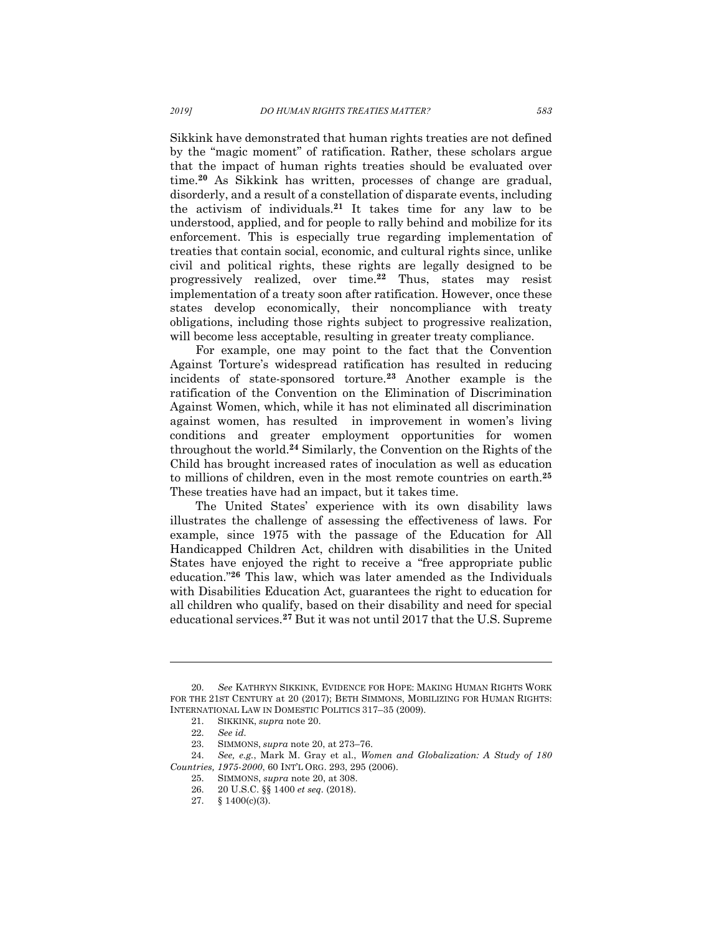Sikkink have demonstrated that human rights treaties are not defined by the "magic moment" of ratification. Rather, these scholars argue that the impact of human rights treaties should be evaluated over time.**<sup>20</sup>** As Sikkink has written, processes of change are gradual, disorderly, and a result of a constellation of disparate events, including the activism of individuals. **<sup>21</sup>** It takes time for any law to be understood, applied, and for people to rally behind and mobilize for its enforcement. This is especially true regarding implementation of treaties that contain social, economic, and cultural rights since, unlike civil and political rights, these rights are legally designed to be progressively realized, over time.**<sup>22</sup>** Thus, states may resist implementation of a treaty soon after ratification. However, once these states develop economically, their noncompliance with treaty obligations, including those rights subject to progressive realization, will become less acceptable, resulting in greater treaty compliance.

For example, one may point to the fact that the Convention Against Torture's widespread ratification has resulted in reducing incidents of state-sponsored torture. **<sup>23</sup>** Another example is the ratification of the Convention on the Elimination of Discrimination Against Women, which, while it has not eliminated all discrimination against women, has resulted in improvement in women's living conditions and greater employment opportunities for women throughout the world.**<sup>24</sup>** Similarly, the Convention on the Rights of the Child has brought increased rates of inoculation as well as education to millions of children, even in the most remote countries on earth.**<sup>25</sup>** These treaties have had an impact, but it takes time.

The United States' experience with its own disability laws illustrates the challenge of assessing the effectiveness of laws. For example, since 1975 with the passage of the Education for All Handicapped Children Act, children with disabilities in the United States have enjoyed the right to receive a "free appropriate public education."**<sup>26</sup>** This law, which was later amended as the Individuals with Disabilities Education Act, guarantees the right to education for all children who qualify, based on their disability and need for special educational services. **<sup>27</sup>** But it was not until 2017 that the U.S. Supreme

<sup>20.</sup> *See* KATHRYN SIKKINK, EVIDENCE FOR HOPE: MAKING HUMAN RIGHTS WORK FOR THE 21ST CENTURY at 20 (2017); BETH SIMMONS, MOBILIZING FOR HUMAN RIGHTS: INTERNATIONAL LAW IN DOMESTIC POLITICS 317–35 (2009).

<sup>21.</sup> SIKKINK, *supra* note 20.

<sup>22.</sup> *See id.*

<sup>23.</sup> SIMMONS, *supra* note 20, at 273–76.

<sup>24.</sup> *See, e.g.*, Mark M. Gray et al., *Women and Globalization: A Study of 180 Countries, 1975-2000*, 60 INT'L ORG. 293, 295 (2006).

<sup>25.</sup> SIMMONS, *supra* note 20, at 308.

<sup>26.</sup> 20 U.S.C. §§ 1400 *et seq.* (2018).

<sup>27.</sup> § 1400(c)(3).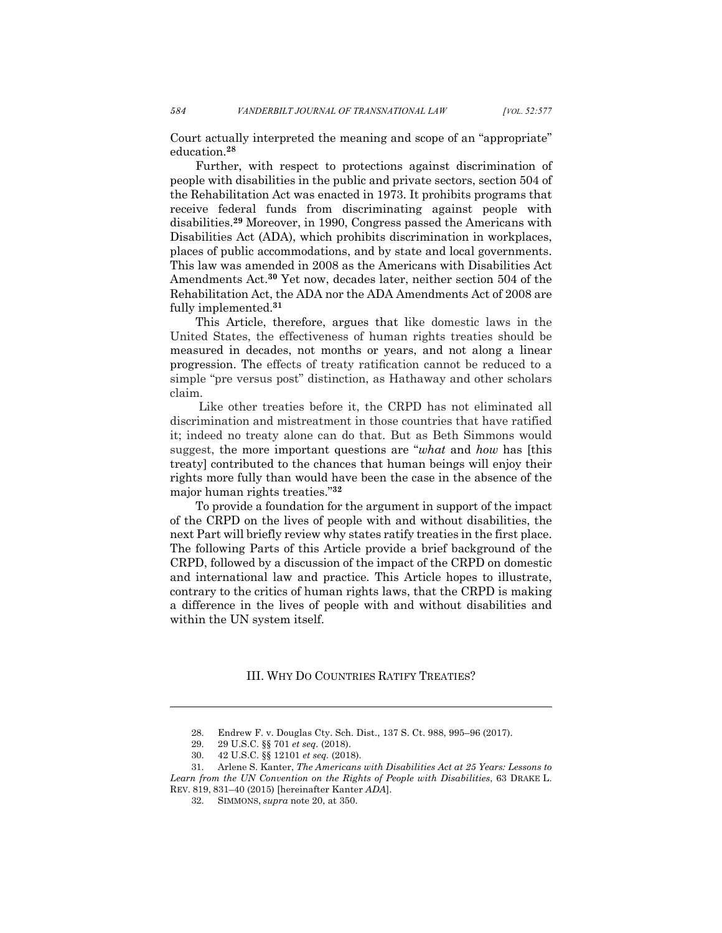Court actually interpreted the meaning and scope of an "appropriate" education.**<sup>28</sup>**

Further, with respect to protections against discrimination of people with disabilities in the public and private sectors, section 504 of the Rehabilitation Act was enacted in 1973. It prohibits programs that receive federal funds from discriminating against people with disabilities.**<sup>29</sup>** Moreover, in 1990, Congress passed the Americans with Disabilities Act (ADA), which prohibits discrimination in workplaces, places of public accommodations, and by state and local governments. This law was amended in 2008 as the Americans with Disabilities Act Amendments Act.**<sup>30</sup>** Yet now, decades later, neither section 504 of the Rehabilitation Act, the ADA nor the ADA Amendments Act of 2008 are fully implemented.**<sup>31</sup>**

This Article, therefore, argues that like domestic laws in the United States, the effectiveness of human rights treaties should be measured in decades, not months or years, and not along a linear progression. The effects of treaty ratification cannot be reduced to a simple "pre versus post" distinction, as Hathaway and other scholars claim.

Like other treaties before it, the CRPD has not eliminated all discrimination and mistreatment in those countries that have ratified it; indeed no treaty alone can do that. But as Beth Simmons would suggest, the more important questions are "*what* and *how* has [this treaty] contributed to the chances that human beings will enjoy their rights more fully than would have been the case in the absence of the major human rights treaties."**<sup>32</sup>**

To provide a foundation for the argument in support of the impact of the CRPD on the lives of people with and without disabilities, the next Part will briefly review why states ratify treaties in the first place. The following Parts of this Article provide a brief background of the CRPD, followed by a discussion of the impact of the CRPD on domestic and international law and practice. This Article hopes to illustrate, contrary to the critics of human rights laws, that the CRPD is making a difference in the lives of people with and without disabilities and within the UN system itself.

III. WHY DO COUNTRIES RATIFY TREATIES?

<sup>28.</sup> Endrew F. v. Douglas Cty. Sch. Dist., 137 S. Ct. 988, 995–96 (2017).

<sup>29.</sup> 29 U.S.C. §§ 701 *et seq.* (2018).

<sup>30.</sup> 42 U.S.C. §§ 12101 *et seq.* (2018).

<sup>31.</sup> Arlene S. Kanter, *The Americans with Disabilities Act at 25 Years: Lessons to Learn from the UN Convention on the Rights of People with Disabilities*, 63 DRAKE L. REV. 819, 831–40 (2015) [hereinafter Kanter *ADA*].

<sup>32.</sup> SIMMONS, *supra* note 20, at 350.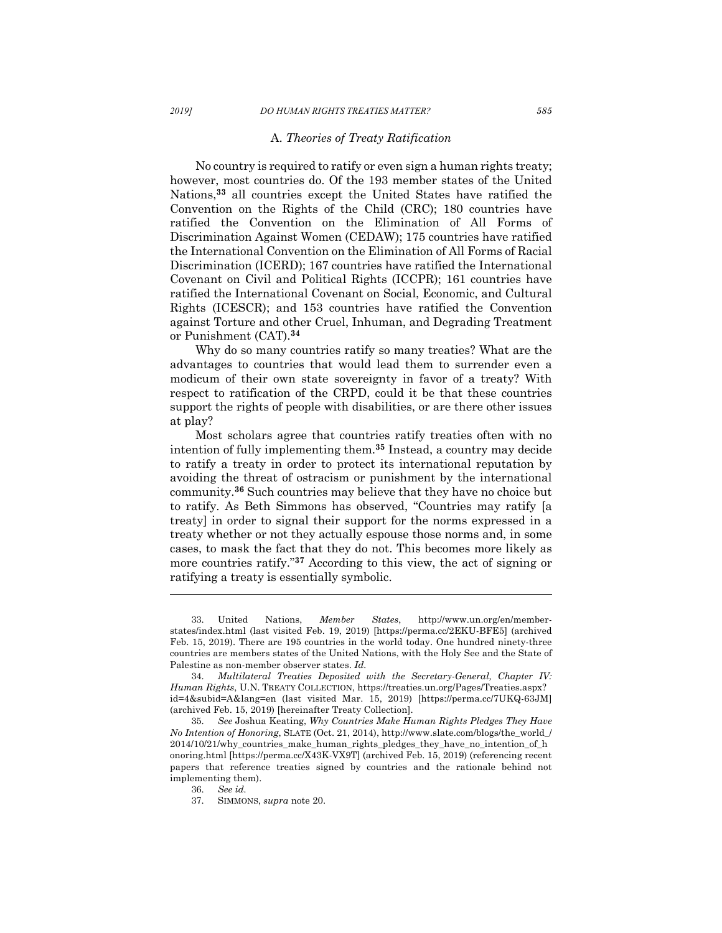## A. *Theories of Treaty Ratification*

No country is required to ratify or even sign a human rights treaty; however, most countries do. Of the 193 member states of the United Nations,**<sup>33</sup>** all countries except the United States have ratified the Convention on the Rights of the Child (CRC); 180 countries have ratified the Convention on the Elimination of All Forms of Discrimination Against Women (CEDAW); 175 countries have ratified the International Convention on the Elimination of All Forms of Racial Discrimination (ICERD); 167 countries have ratified the International Covenant on Civil and Political Rights (ICCPR); 161 countries have ratified the International Covenant on Social, Economic, and Cultural Rights (ICESCR); and 153 countries have ratified the Convention against Torture and other Cruel, Inhuman, and Degrading Treatment or Punishment (CAT).**<sup>34</sup>**

Why do so many countries ratify so many treaties? What are the advantages to countries that would lead them to surrender even a modicum of their own state sovereignty in favor of a treaty? With respect to ratification of the CRPD, could it be that these countries support the rights of people with disabilities, or are there other issues at play?

Most scholars agree that countries ratify treaties often with no intention of fully implementing them. **<sup>35</sup>** Instead, a country may decide to ratify a treaty in order to protect its international reputation by avoiding the threat of ostracism or punishment by the international community. **<sup>36</sup>** Such countries may believe that they have no choice but to ratify. As Beth Simmons has observed, "Countries may ratify [a treaty] in order to signal their support for the norms expressed in a treaty whether or not they actually espouse those norms and, in some cases, to mask the fact that they do not. This becomes more likely as more countries ratify."**<sup>37</sup>** According to this view, the act of signing or ratifying a treaty is essentially symbolic.

<sup>33.</sup> United Nations, *Member States*, http://www.un.org/en/memberstates/index.html (last visited Feb. 19, 2019) [https://perma.cc/2EKU-BFE5] (archived Feb. 15, 2019). There are 195 countries in the world today. One hundred ninety-three countries are members states of the United Nations, with the Holy See and the State of Palestine as non-member observer states. *Id.*

<sup>34.</sup> *Multilateral Treaties Deposited with the Secretary-General, Chapter IV: Human Rights*, U.N. TREATY COLLECTION, https://treaties.un.org/Pages/Treaties.aspx? id=4&subid=A&lang=en (last visited Mar. 15, 2019) [https://perma.cc/7UKQ-63JM] (archived Feb. 15, 2019) [hereinafter Treaty Collection].

<sup>35.</sup> *See* Joshua Keating, *Why Countries Make Human Rights Pledges They Have No Intention of Honoring*, SLATE (Oct. 21, 2014), http://www.slate.com/blogs/the\_world\_/ 2014/10/21/why\_countries\_make\_human\_rights\_pledges\_they\_have\_no\_intention\_of\_h onoring.html [https://perma.cc/X43K-VX9T] (archived Feb. 15, 2019) (referencing recent papers that reference treaties signed by countries and the rationale behind not implementing them).

<sup>36.</sup> *See id.*

<sup>37.</sup> SIMMONS, *supra* note 20.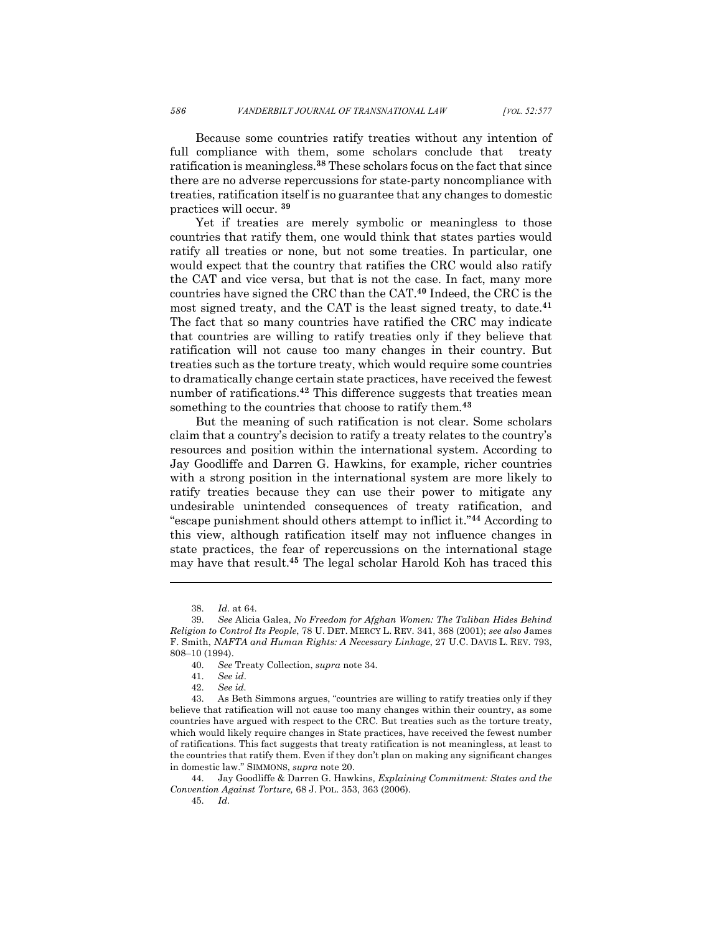Because some countries ratify treaties without any intention of full compliance with them, some scholars conclude that treaty ratification is meaningless. **<sup>38</sup>** These scholars focus on the fact that since there are no adverse repercussions for state-party noncompliance with treaties, ratification itself is no guarantee that any changes to domestic practices will occur. **<sup>39</sup>**

Yet if treaties are merely symbolic or meaningless to those countries that ratify them, one would think that states parties would ratify all treaties or none, but not some treaties. In particular, one would expect that the country that ratifies the CRC would also ratify the CAT and vice versa, but that is not the case. In fact, many more countries have signed the CRC than the CAT.**<sup>40</sup>** Indeed, the CRC is the most signed treaty, and the CAT is the least signed treaty, to date.**<sup>41</sup>** The fact that so many countries have ratified the CRC may indicate that countries are willing to ratify treaties only if they believe that ratification will not cause too many changes in their country. But treaties such as the torture treaty, which would require some countries to dramatically change certain state practices, have received the fewest number of ratifications.**<sup>42</sup>** This difference suggests that treaties mean something to the countries that choose to ratify them*.* **43**

But the meaning of such ratification is not clear. Some scholars claim that a country's decision to ratify a treaty relates to the country's resources and position within the international system. According to Jay Goodliffe and Darren G. Hawkins, for example, richer countries with a strong position in the international system are more likely to ratify treaties because they can use their power to mitigate any undesirable unintended consequences of treaty ratification, and "escape punishment should others attempt to inflict it."**<sup>44</sup>** According to this view, although ratification itself may not influence changes in state practices, the fear of repercussions on the international stage may have that result.**<sup>45</sup>** The legal scholar Harold Koh has traced this

<sup>38.</sup> *Id.* at 64*.*

<sup>39.</sup> *See* Alicia Galea, *No Freedom for Afghan Women: The Taliban Hides Behind Religion to Control Its People*, 78 U. DET. MERCY L. REV. 341, 368 (2001); *see also* James F. Smith, *NAFTA and Human Rights: A Necessary Linkage*, 27 U.C. DAVIS L. REV. 793, 808–10 (1994).

<sup>40.</sup> *See* Treaty Collection, *supra* note 34.

<sup>41.</sup> *See id*.

<sup>42.</sup> *See id.*

<sup>43.</sup> As Beth Simmons argues, "countries are willing to ratify treaties only if they believe that ratification will not cause too many changes within their country, as some countries have argued with respect to the CRC. But treaties such as the torture treaty, which would likely require changes in State practices, have received the fewest number of ratifications. This fact suggests that treaty ratification is not meaningless, at least to the countries that ratify them. Even if they don't plan on making any significant changes in domestic law." SIMMONS, *supra* note 20.

<sup>44.</sup> Jay Goodliffe & Darren G. Hawkins*, Explaining Commitment: States and the Convention Against Torture,* 68 J. POL. 353, 363 (2006).

<sup>45.</sup> *Id.*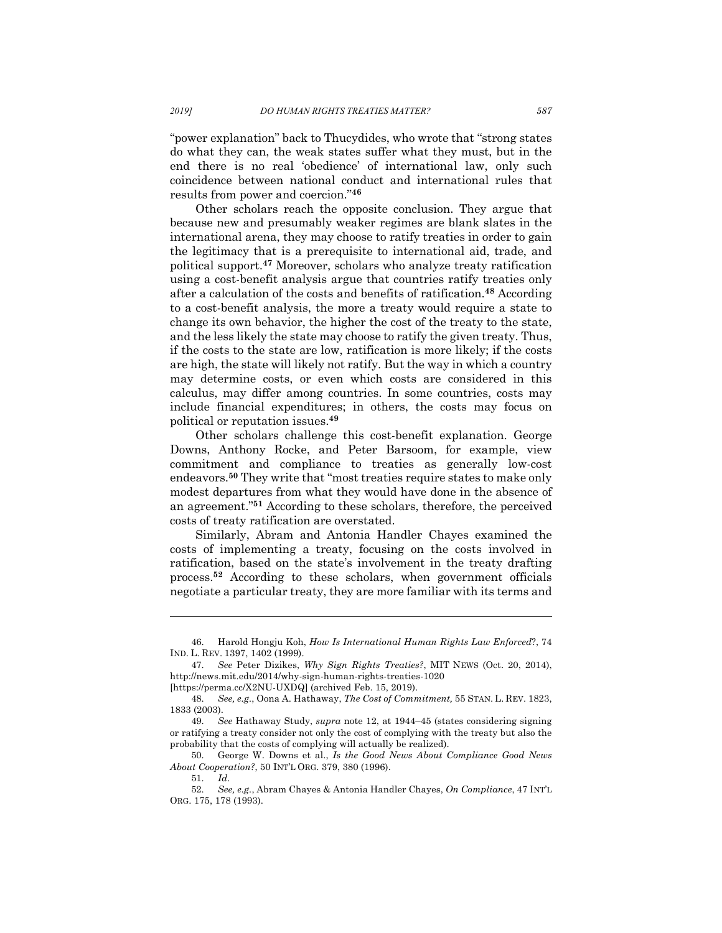"power explanation" back to Thucydides, who wrote that "strong states do what they can, the weak states suffer what they must, but in the end there is no real 'obedience' of international law, only such coincidence between national conduct and international rules that results from power and coercion."**<sup>46</sup>**

Other scholars reach the opposite conclusion. They argue that because new and presumably weaker regimes are blank slates in the international arena, they may choose to ratify treaties in order to gain the legitimacy that is a prerequisite to international aid, trade, and political support.**<sup>47</sup>** Moreover, scholars who analyze treaty ratification using a cost-benefit analysis argue that countries ratify treaties only after a calculation of the costs and benefits of ratification.**<sup>48</sup>** According to a cost-benefit analysis, the more a treaty would require a state to change its own behavior, the higher the cost of the treaty to the state, and the less likely the state may choose to ratify the given treaty. Thus, if the costs to the state are low, ratification is more likely; if the costs are high, the state will likely not ratify. But the way in which a country may determine costs, or even which costs are considered in this calculus, may differ among countries. In some countries, costs may include financial expenditures; in others, the costs may focus on political or reputation issues.**<sup>49</sup>**

Other scholars challenge this cost-benefit explanation. George Downs, Anthony Rocke, and Peter Barsoom, for example, view commitment and compliance to treaties as generally low-cost endeavors.**<sup>50</sup>** They write that "most treaties require states to make only modest departures from what they would have done in the absence of an agreement."**<sup>51</sup>** According to these scholars, therefore, the perceived costs of treaty ratification are overstated.

Similarly, Abram and Antonia Handler Chayes examined the costs of implementing a treaty, focusing on the costs involved in ratification, based on the state's involvement in the treaty drafting process.**<sup>52</sup>** According to these scholars, when government officials negotiate a particular treaty, they are more familiar with its terms and

<sup>46.</sup> Harold Hongju Koh, *How Is International Human Rights Law Enforced*?, 74 IND. L. REV. 1397, 1402 (1999).

<sup>47.</sup> *See* Peter Dizikes, *Why Sign Rights Treaties?*, MIT NEWS (Oct. 20, 2014), http://news.mit.edu/2014/why-sign-human-rights-treaties-1020 [https://perma.cc/X2NU-UXDQ] (archived Feb. 15, 2019).

<sup>48.</sup> *See, e.g.*, Oona A. Hathaway, *The Cost of Commitment,* 55 STAN. L. REV. 1823,

<sup>1833 (2003).</sup>

<sup>49.</sup> *See* Hathaway Study, *supra* note 12, at 1944–45 (states considering signing or ratifying a treaty consider not only the cost of complying with the treaty but also the probability that the costs of complying will actually be realized).

<sup>50.</sup> George W. Downs et al., *Is the Good News About Compliance Good News About Cooperation?*, 50 INT'L ORG. 379, 380 (1996).

<sup>51.</sup> *Id.*

<sup>52.</sup> *See, e.g.*, Abram Chayes & Antonia Handler Chayes, *On Compliance*, 47 INT'L ORG. 175, 178 (1993).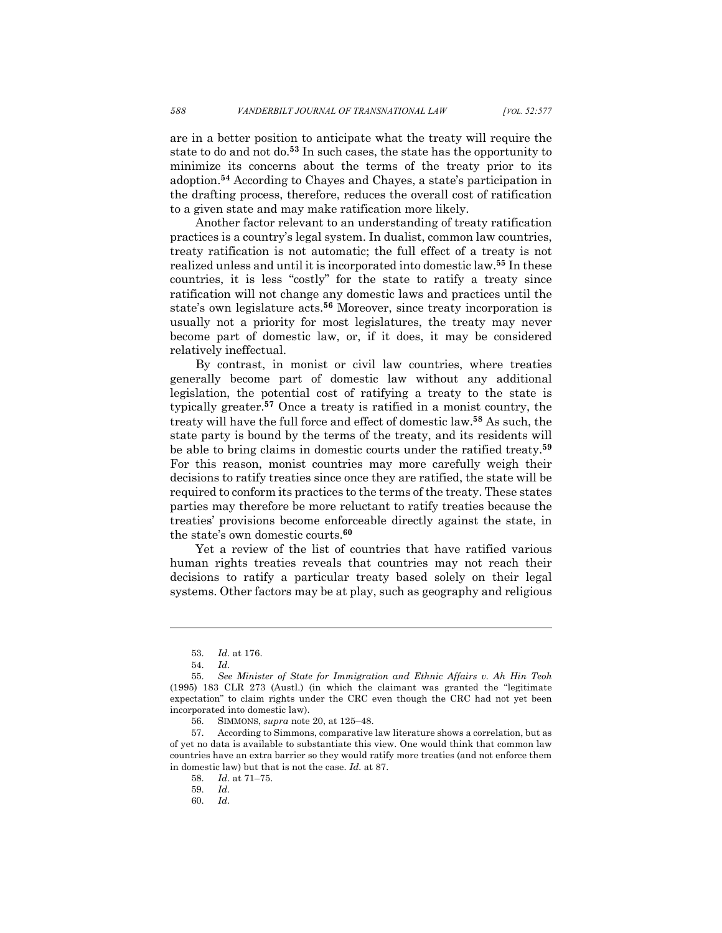are in a better position to anticipate what the treaty will require the state to do and not do.**<sup>53</sup>** In such cases, the state has the opportunity to minimize its concerns about the terms of the treaty prior to its adoption.**<sup>54</sup>** According to Chayes and Chayes, a state's participation in the drafting process, therefore, reduces the overall cost of ratification to a given state and may make ratification more likely.

Another factor relevant to an understanding of treaty ratification practices is a country's legal system. In dualist, common law countries, treaty ratification is not automatic; the full effect of a treaty is not realized unless and until it is incorporated into domestic law.**<sup>55</sup>** In these countries, it is less "costly" for the state to ratify a treaty since ratification will not change any domestic laws and practices until the state's own legislature acts.**<sup>56</sup>** Moreover, since treaty incorporation is usually not a priority for most legislatures, the treaty may never become part of domestic law, or, if it does, it may be considered relatively ineffectual.

By contrast, in monist or civil law countries, where treaties generally become part of domestic law without any additional legislation, the potential cost of ratifying a treaty to the state is typically greater.**<sup>57</sup>** Once a treaty is ratified in a monist country, the treaty will have the full force and effect of domestic law.**<sup>58</sup>** As such, the state party is bound by the terms of the treaty, and its residents will be able to bring claims in domestic courts under the ratified treaty.**<sup>59</sup>** For this reason, monist countries may more carefully weigh their decisions to ratify treaties since once they are ratified, the state will be required to conform its practices to the terms of the treaty. These states parties may therefore be more reluctant to ratify treaties because the treaties' provisions become enforceable directly against the state, in the state's own domestic courts. **60**

Yet a review of the list of countries that have ratified various human rights treaties reveals that countries may not reach their decisions to ratify a particular treaty based solely on their legal systems. Other factors may be at play, such as geography and religious

<sup>53.</sup> *Id.* at 176.

<sup>54.</sup> *Id.*

<sup>55.</sup> *See Minister of State for Immigration and Ethnic Affairs v. Ah Hin Teoh* (1995) 183 CLR 273 (Austl.) (in which the claimant was granted the "legitimate expectation" to claim rights under the CRC even though the CRC had not yet been incorporated into domestic law).

<sup>56.</sup> SIMMONS, *supra* note 20, at 125–48.

<sup>57.</sup> According to Simmons, comparative law literature shows a correlation, but as of yet no data is available to substantiate this view. One would think that common law countries have an extra barrier so they would ratify more treaties (and not enforce them in domestic law) but that is not the case. *Id.* at 87.

<sup>58.</sup> *Id.* at 71–75.

<sup>59.</sup> *Id.*

<sup>60.</sup> *Id.*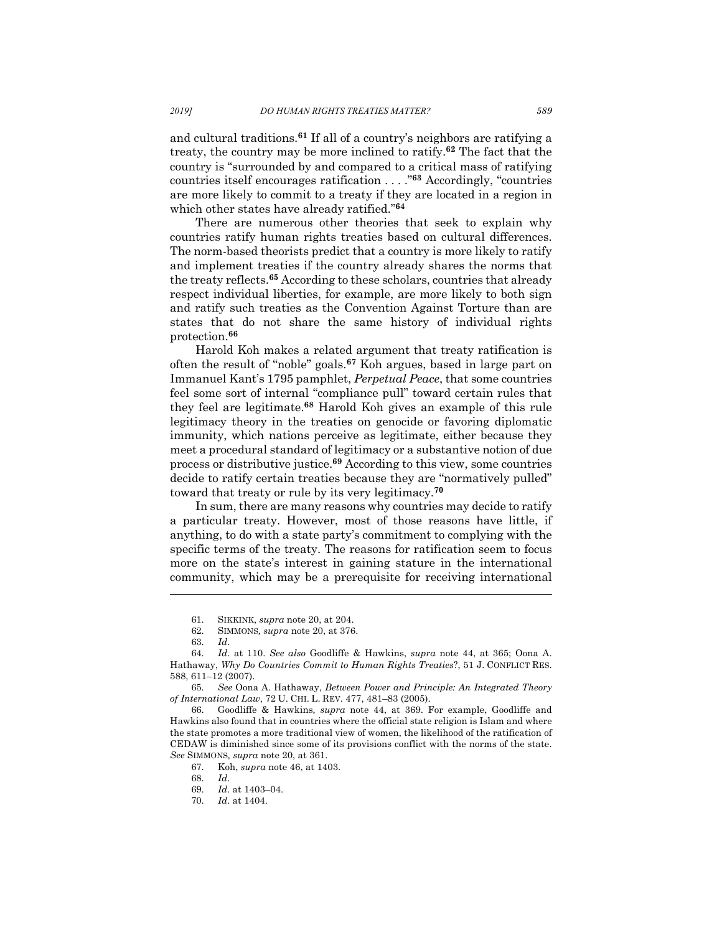and cultural traditions.**<sup>61</sup>** If all of a country's neighbors are ratifying a treaty, the country may be more inclined to ratify.**<sup>62</sup>** The fact that the country is "surrounded by and compared to a critical mass of ratifying countries itself encourages ratification . . . ."**<sup>63</sup>** Accordingly, "countries are more likely to commit to a treaty if they are located in a region in which other states have already ratified."**<sup>64</sup>**

There are numerous other theories that seek to explain why countries ratify human rights treaties based on cultural differences. The norm-based theorists predict that a country is more likely to ratify and implement treaties if the country already shares the norms that the treaty reflects.**<sup>65</sup>** According to these scholars, countries that already respect individual liberties, for example, are more likely to both sign and ratify such treaties as the Convention Against Torture than are states that do not share the same history of individual rights protection.**<sup>66</sup>**

Harold Koh makes a related argument that treaty ratification is often the result of "noble" goals.**<sup>67</sup>** Koh argues, based in large part on Immanuel Kant's 1795 pamphlet, *Perpetual Peace*, that some countries feel some sort of internal "compliance pull" toward certain rules that they feel are legitimate.**<sup>68</sup>** Harold Koh gives an example of this rule legitimacy theory in the treaties on genocide or favoring diplomatic immunity, which nations perceive as legitimate, either because they meet a procedural standard of legitimacy or a substantive notion of due process or distributive justice.**<sup>69</sup>** According to this view, some countries decide to ratify certain treaties because they are "normatively pulled" toward that treaty or rule by its very legitimacy.**<sup>70</sup>**

In sum, there are many reasons why countries may decide to ratify a particular treaty. However, most of those reasons have little, if anything, to do with a state party's commitment to complying with the specific terms of the treaty. The reasons for ratification seem to focus more on the state's interest in gaining stature in the international community, which may be a prerequisite for receiving international

<sup>61.</sup> SIKKINK, *supra* note 20, at 204.

<sup>62.</sup> SIMMONS*, supra* note 20, at 376.

<sup>63.</sup> *Id*.

<sup>64.</sup> *Id.* at 110. *See also* Goodliffe & Hawkins, *supra* note 44, at 365; Oona A. Hathaway, *Why Do Countries Commit to Human Rights Treaties*?, 51 J. CONFLICT RES. 588, 611–12 (2007).

<sup>65.</sup> *See* Oona A. Hathaway, *Between Power and Principle: An Integrated Theory of International Law*, 72 U. CHI. L. REV. 477, 481–83 (2005).

<sup>66.</sup> Goodliffe & Hawkins*, supra* note 44, at 369. For example, Goodliffe and Hawkins also found that in countries where the official state religion is Islam and where the state promotes a more traditional view of women, the likelihood of the ratification of CEDAW is diminished since some of its provisions conflict with the norms of the state. *See* SIMMONS*, supra* note 20, at 361.

<sup>67.</sup> Koh, *supra* note 46, at 1403.

<sup>68.</sup> *Id.*

<sup>69.</sup> *Id.* at 1403–04.

<sup>70.</sup> *Id.* at 1404.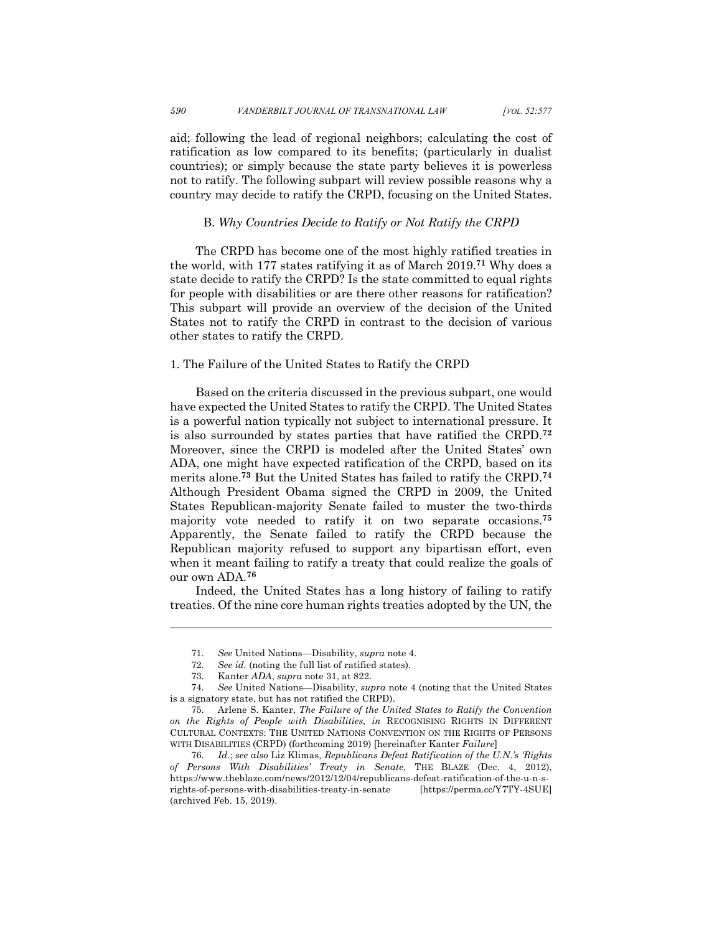aid; following the lead of regional neighbors; calculating the cost of ratification as low compared to its benefits; (particularly in dualist countries); or simply because the state party believes it is powerless not to ratify. The following subpart will review possible reasons why a country may decide to ratify the CRPD, focusing on the United States.

#### B. *Why Countries Decide to Ratify or Not Ratify the CRPD*

The CRPD has become one of the most highly ratified treaties in the world, with 177 states ratifying it as of March 2019. **<sup>71</sup>** Why does a state decide to ratify the CRPD? Is the state committed to equal rights for people with disabilities or are there other reasons for ratification? This subpart will provide an overview of the decision of the United States not to ratify the CRPD in contrast to the decision of various other states to ratify the CRPD.

#### 1. The Failure of the United States to Ratify the CRPD

Based on the criteria discussed in the previous subpart, one would have expected the United States to ratify the CRPD. The United States is a powerful nation typically not subject to international pressure. It is also surrounded by states parties that have ratified the CRPD.**<sup>72</sup>** Moreover, since the CRPD is modeled after the United States' own ADA, one might have expected ratification of the CRPD, based on its merits alone. **<sup>73</sup>** But the United States has failed to ratify the CRPD.**<sup>74</sup>** Although President Obama signed the CRPD in 2009, the United States Republican-majority Senate failed to muster the two-thirds majority vote needed to ratify it on two separate occasions. **75** Apparently, the Senate failed to ratify the CRPD because the Republican majority refused to support any bipartisan effort, even when it meant failing to ratify a treaty that could realize the goals of our own ADA.**<sup>76</sup>**

Indeed, the United States has a long history of failing to ratify treaties. Of the nine core human rights treaties adopted by the UN, the

<sup>71.</sup> *See* United Nations—Disability, *supra* note 4.

<sup>72.</sup> *See id.* (noting the full list of ratified states).

<sup>73.</sup> Kanter *ADA*, *supra* note 31, at 822.

<sup>74.</sup> *See* United Nations—Disability, *supra* note 4 (noting that the United States is a signatory state, but has not ratified the CRPD).

<sup>75.</sup> Arlene S. Kanter, *The Failure of the United States to Ratify the Convention on the Rights of People with Disabilities, in* RECOGNISING RIGHTS IN DIFFERENT CULTURAL CONTEXTS: THE UNITED NATIONS CONVENTION ON THE RIGHTS OF PERSONS WITH DISABILITIES (CRPD) (forthcoming 2019) [hereinafter Kanter *Failure*]

<sup>76.</sup> *Id.*; *see also* Liz Klimas, *Republicans Defeat Ratification of the U.N.'s 'Rights of Persons With Disabilities' Treaty in Senate*, THE BLAZE (Dec. 4, 2012), https://www.theblaze.com/news/2012/12/04/republicans-defeat-ratification-of-the-u-n-srights-of-persons-with-disabilities-treaty-in-senate [https://perma.cc/Y7TY-4SUE] (archived Feb. 15, 2019).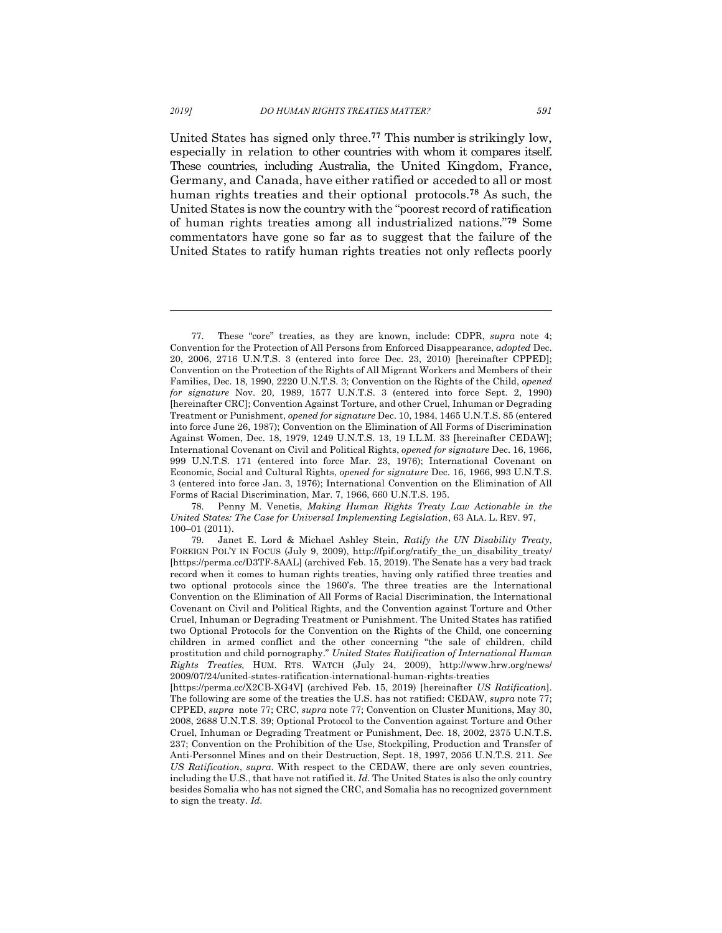United States has signed only three.**<sup>77</sup>** This number is strikingly low, especially in relation to other countries with whom it compares itself. These countries, including Australia, the United Kingdom, France, Germany, and Canada, have either ratified or acceded to all or most human rights treaties and their optional protocols.**<sup>78</sup>** As such, the United States is now the country with the "poorest record of ratification of human rights treaties among all industrialized nations."**<sup>79</sup>** Some commentators have gone so far as to suggest that the failure of the United States to ratify human rights treaties not only reflects poorly

78. Penny M. Venetis, *Making Human Rights Treaty Law Actionable in the United States: The Case for Universal Implementing Legislation*, 63 ALA. L. REV. 97, 100–01 (2011).

<sup>77.</sup> These "core" treaties, as they are known, include: CDPR, *supra* note 4; Convention for the Protection of All Persons from Enforced Disappearance, *adopted* Dec. 20, 2006, 2716 U.N.T.S. 3 (entered into force Dec. 23, 2010) [hereinafter CPPED]; Convention on the Protection of the Rights of All Migrant Workers and Members of their Families, Dec. 18, 1990, 2220 U.N.T.S. 3; Convention on the Rights of the Child, *opened for signature* Nov. 20, 1989, 1577 U.N.T.S. 3 (entered into force Sept. 2, 1990) [hereinafter CRC]; Convention Against Torture, and other Cruel, Inhuman or Degrading Treatment or Punishment, *opened for signature* Dec. 10, 1984, 1465 U.N.T.S. 85 (entered into force June 26, 1987); Convention on the Elimination of All Forms of Discrimination Against Women, Dec. 18, 1979, 1249 U.N.T.S. 13, 19 I.L.M. 33 [hereinafter CEDAW]; International Covenant on Civil and Political Rights, *opened for signature* Dec. 16, 1966, 999 U.N.T.S. 171 (entered into force Mar. 23, 1976); International Covenant on Economic, Social and Cultural Rights, *opened for signature* Dec. 16, 1966, 993 U.N.T.S. 3 (entered into force Jan. 3, 1976); International Convention on the Elimination of All Forms of Racial Discrimination, Mar. 7, 1966, 660 U.N.T.S. 195.

<sup>79.</sup> Janet E. Lord & Michael Ashley Stein, *Ratify the UN Disability Treaty*, FOREIGN POL'Y IN FOCUS (July 9, 2009), http://fpif.org/ratify\_the\_un\_disability\_treaty/ [https://perma.cc/D3TF-8AAL] (archived Feb. 15, 2019). The Senate has a very bad track record when it comes to human rights treaties, having only ratified three treaties and two optional protocols since the 1960's. The three treaties are the International Convention on the Elimination of All Forms of Racial Discrimination, the International Covenant on Civil and Political Rights, and the Convention against Torture and Other Cruel, Inhuman or Degrading Treatment or Punishment. The United States has ratified two Optional Protocols for the Convention on the Rights of the Child, one concerning children in armed conflict and the other concerning "the sale of children, child prostitution and child pornography." *United States Ratification of International Human Rights Treaties,* HUM. RTS. WATCH (July 24, 2009), http://www.hrw.org/news/ 2009/07/24/united-states-ratification-international-human-rights-treaties

<sup>[</sup>https://perma.cc/X2CB-XG4V] (archived Feb. 15, 2019) [hereinafter *US Ratification*]. The following are some of the treaties the U.S. has not ratified: CEDAW, *supra* note 77; CPPED, *supra* note 77; CRC, *supra* note 77; Convention on Cluster Munitions, May 30, 2008, 2688 U.N.T.S. 39; Optional Protocol to the Convention against Torture and Other Cruel, Inhuman or Degrading Treatment or Punishment, Dec. 18, 2002, 2375 U.N.T.S. 237; Convention on the Prohibition of the Use, Stockpiling, Production and Transfer of Anti-Personnel Mines and on their Destruction, Sept. 18, 1997, 2056 U.N.T.S. 211. *See US Ratification*, *supra*. With respect to the CEDAW, there are only seven countries, including the U.S., that have not ratified it. *Id.* The United States is also the only country besides Somalia who has not signed the CRC, and Somalia has no recognized government to sign the treaty. *Id.*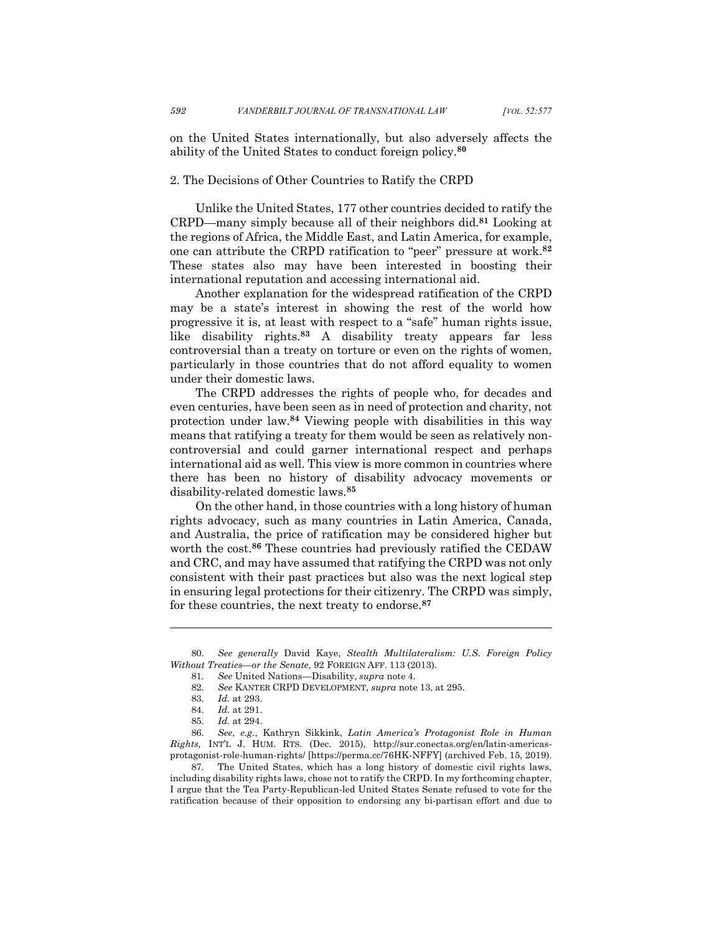on the United States internationally, but also adversely affects the ability of the United States to conduct foreign policy.**<sup>80</sup>**

## 2. The Decisions of Other Countries to Ratify the CRPD

Unlike the United States, 177 other countries decided to ratify the CRPD—many simply because all of their neighbors did.**<sup>81</sup>** Looking at the regions of Africa, the Middle East, and Latin America, for example, one can attribute the CRPD ratification to "peer" pressure at work.**<sup>82</sup>** These states also may have been interested in boosting their international reputation and accessing international aid.

Another explanation for the widespread ratification of the CRPD may be a state's interest in showing the rest of the world how progressive it is, at least with respect to a "safe" human rights issue, like disability rights. **<sup>83</sup>** A disability treaty appears far less controversial than a treaty on torture or even on the rights of women, particularly in those countries that do not afford equality to women under their domestic laws.

The CRPD addresses the rights of people who, for decades and even centuries, have been seen as in need of protection and charity, not protection under law.**<sup>84</sup>** Viewing people with disabilities in this way means that ratifying a treaty for them would be seen as relatively noncontroversial and could garner international respect and perhaps international aid as well. This view is more common in countries where there has been no history of disability advocacy movements or disability-related domestic laws. **85**

On the other hand, in those countries with a long history of human rights advocacy, such as many countries in Latin America, Canada, and Australia, the price of ratification may be considered higher but worth the cost.**<sup>86</sup>** These countries had previously ratified the CEDAW and CRC, and may have assumed that ratifying the CRPD was not only consistent with their past practices but also was the next logical step in ensuring legal protections for their citizenry. The CRPD was simply, for these countries, the next treaty to endorse.**<sup>87</sup>**

l

86. *See*, *e.g.*, Kathryn Sikkink, *Latin America's Protagonist Role in Human Rights,* INT'L J. HUM. RTS. (Dec. 2015), http://sur.conectas.org/en/latin-americasprotagonist-role-human-rights/ [https://perma.cc/76HK-NFFY] (archived Feb. 15, 2019).

87. The United States, which has a long history of domestic civil rights laws, including disability rights laws, chose not to ratify the CRPD. In my forthcoming chapter, I argue that the Tea Party-Republican-led United States Senate refused to vote for the ratification because of their opposition to endorsing any bi-partisan effort and due to

<sup>80.</sup> *See generally* David Kaye, *Stealth Multilateralism: U.S. Foreign Policy Without Treaties—or the Senate*, 92 FOREIGN AFF. 113 (2013).

<sup>81.</sup> *See* United Nations—Disability, *supra* note 4.

<sup>82.</sup> *See* KANTER CRPD DEVELOPMENT, *supra* note 13, at 295.

<sup>83.</sup> *Id.* at 293.

<sup>84.</sup> *Id.* at 291.

<sup>85.</sup> *Id.* at 294.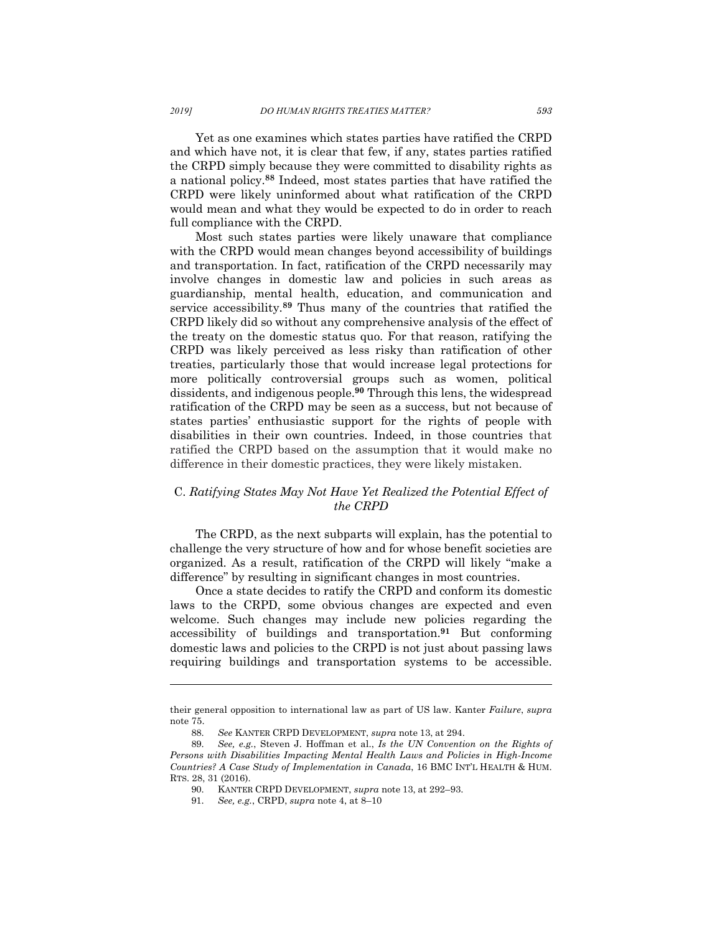Yet as one examines which states parties have ratified the CRPD and which have not, it is clear that few, if any, states parties ratified the CRPD simply because they were committed to disability rights as a national policy.**<sup>88</sup>** Indeed, most states parties that have ratified the CRPD were likely uninformed about what ratification of the CRPD would mean and what they would be expected to do in order to reach full compliance with the CRPD.

Most such states parties were likely unaware that compliance with the CRPD would mean changes beyond accessibility of buildings and transportation. In fact, ratification of the CRPD necessarily may involve changes in domestic law and policies in such areas as guardianship, mental health, education, and communication and service accessibility. **<sup>89</sup>** Thus many of the countries that ratified the CRPD likely did so without any comprehensive analysis of the effect of the treaty on the domestic status quo. For that reason, ratifying the CRPD was likely perceived as less risky than ratification of other treaties, particularly those that would increase legal protections for more politically controversial groups such as women, political dissidents, and indigenous people. **<sup>90</sup>** Through this lens, the widespread ratification of the CRPD may be seen as a success, but not because of states parties' enthusiastic support for the rights of people with disabilities in their own countries. Indeed, in those countries that ratified the CRPD based on the assumption that it would make no difference in their domestic practices, they were likely mistaken.

# C. *Ratifying States May Not Have Yet Realized the Potential Effect of the CRPD*

The CRPD, as the next subparts will explain, has the potential to challenge the very structure of how and for whose benefit societies are organized. As a result, ratification of the CRPD will likely "make a difference" by resulting in significant changes in most countries.

Once a state decides to ratify the CRPD and conform its domestic laws to the CRPD, some obvious changes are expected and even welcome. Such changes may include new policies regarding the accessibility of buildings and transportation.**<sup>91</sup>** But conforming domestic laws and policies to the CRPD is not just about passing laws requiring buildings and transportation systems to be accessible.

their general opposition to international law as part of US law. Kanter *Failure*, *supra* note 75.

<sup>88.</sup> *See* KANTER CRPD DEVELOPMENT, *supra* note 13, at 294.

<sup>89.</sup> *See, e.g.*, Steven J. Hoffman et al., *Is the UN Convention on the Rights of Persons with Disabilities Impacting Mental Health Laws and Policies in High-Income Countries? A Case Study of Implementation in Canada*, 16 BMC INT'L HEALTH & HUM. RTS. 28, 31 (2016).

<sup>90.</sup> KANTER CRPD DEVELOPMENT, *supra* note 13, at 292–93.

<sup>91.</sup> *See, e.g.*, CRPD, *supra* note 4, at 8–10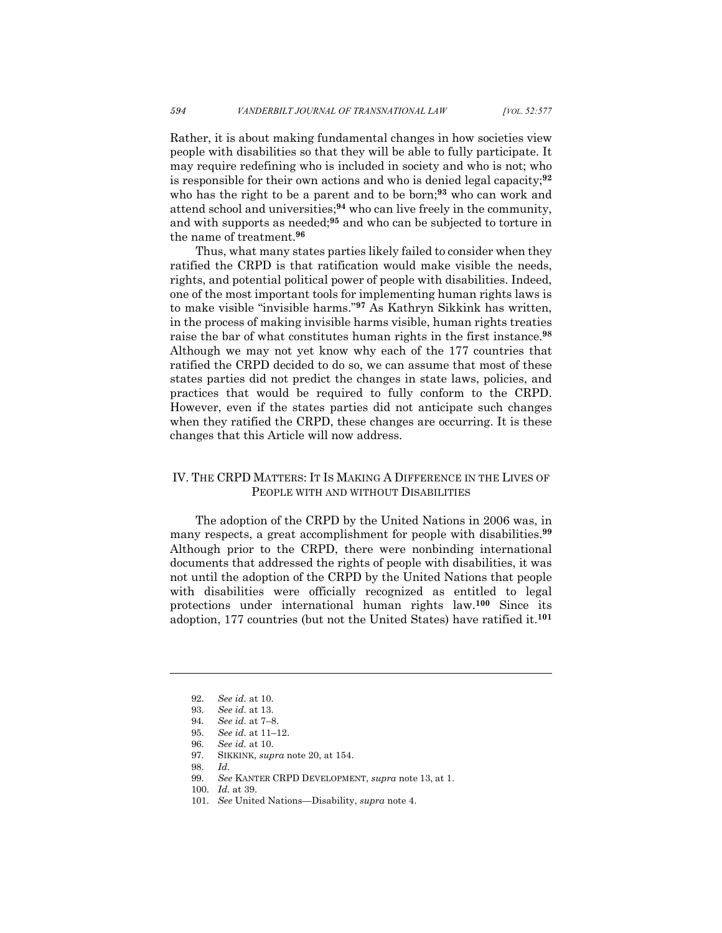Rather, it is about making fundamental changes in how societies view people with disabilities so that they will be able to fully participate. It may require redefining who is included in society and who is not; who is responsible for their own actions and who is denied legal capacity; **92** who has the right to be a parent and to be born; **<sup>93</sup>** who can work and attend school and universities; **<sup>94</sup>** who can live freely in the community, and with supports as needed; **<sup>95</sup>** and who can be subjected to torture in the name of treatment.**<sup>96</sup>**

Thus, what many states parties likely failed to consider when they ratified the CRPD is that ratification would make visible the needs, rights, and potential political power of people with disabilities. Indeed, one of the most important tools for implementing human rights laws is to make visible "invisible harms."**<sup>97</sup>** As Kathryn Sikkink has written, in the process of making invisible harms visible, human rights treaties raise the bar of what constitutes human rights in the first instance.**<sup>98</sup>** Although we may not yet know why each of the 177 countries that ratified the CRPD decided to do so, we can assume that most of these states parties did not predict the changes in state laws, policies, and practices that would be required to fully conform to the CRPD. However, even if the states parties did not anticipate such changes when they ratified the CRPD, these changes are occurring. It is these changes that this Article will now address.

## IV. THE CRPD MATTERS: IT IS MAKING A DIFFERENCE IN THE LIVES OF PEOPLE WITH AND WITHOUT DISABILITIES

The adoption of the CRPD by the United Nations in 2006 was, in many respects, a great accomplishment for people with disabilities.**<sup>99</sup>** Although prior to the CRPD, there were nonbinding international documents that addressed the rights of people with disabilities, it was not until the adoption of the CRPD by the United Nations that people with disabilities were officially recognized as entitled to legal protections under international human rights law.**<sup>100</sup>** Since its adoption, 177 countries (but not the United States) have ratified it.**<sup>101</sup>**

l

101. *See* United Nations—Disability, *supra* note 4.

<sup>92.</sup> *See id.* at 10.

<sup>93.</sup> *See id.* at 13.

<sup>94.</sup> *See id.* at 7–8.

<sup>95.</sup> *See id.* at 11–12.

<sup>96.</sup> *See id.* at 10.

<sup>97.</sup> SIKKINK, *supra* note 20, at 154.

<sup>98.</sup> *Id.*

<sup>99.</sup> *See* KANTER CRPD DEVELOPMENT, *supra* note 13, at 1.

<sup>100.</sup> *Id.* at 39.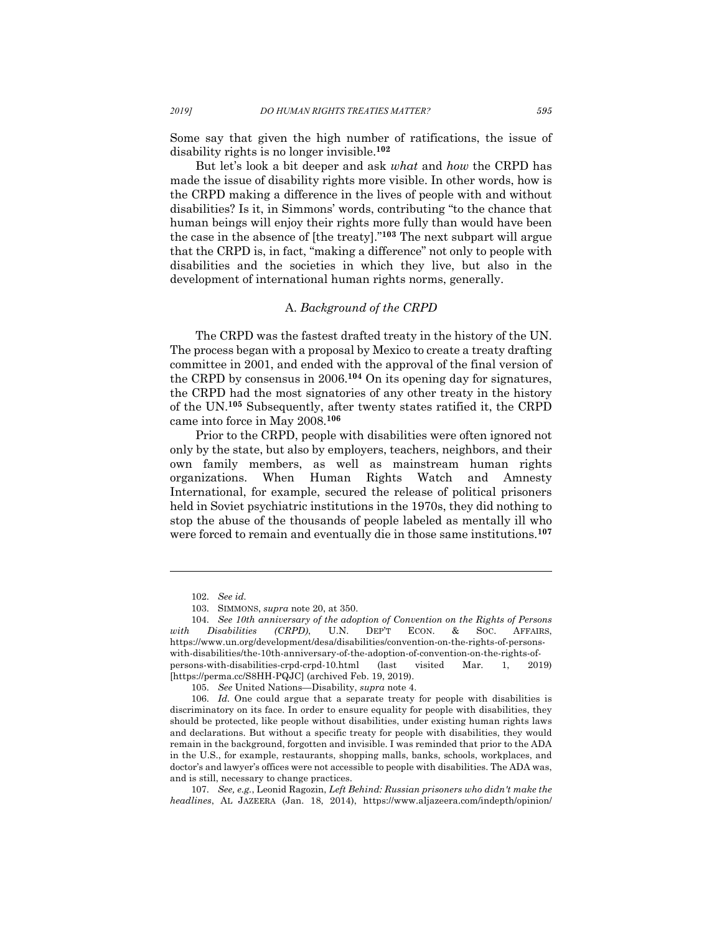Some say that given the high number of ratifications, the issue of disability rights is no longer invisible.**<sup>102</sup>**

But let's look a bit deeper and ask *what* and *how* the CRPD has made the issue of disability rights more visible. In other words, how is the CRPD making a difference in the lives of people with and without disabilities? Is it, in Simmons' words, contributing "to the chance that human beings will enjoy their rights more fully than would have been the case in the absence of [the treaty]."**<sup>103</sup>** The next subpart will argue that the CRPD is, in fact, "making a difference" not only to people with disabilities and the societies in which they live, but also in the development of international human rights norms, generally.

#### A. *Background of the CRPD*

The CRPD was the fastest drafted treaty in the history of the UN. The process began with a proposal by Mexico to create a treaty drafting committee in 2001, and ended with the approval of the final version of the CRPD by consensus in 2006.**<sup>104</sup>** On its opening day for signatures, the CRPD had the most signatories of any other treaty in the history of the UN.**<sup>105</sup>** Subsequently, after twenty states ratified it, the CRPD came into force in May 2008.**<sup>106</sup>**

Prior to the CRPD, people with disabilities were often ignored not only by the state, but also by employers, teachers, neighbors, and their own family members, as well as mainstream human rights organizations. When Human Rights Watch and Amnesty International, for example, secured the release of political prisoners held in Soviet psychiatric institutions in the 1970s, they did nothing to stop the abuse of the thousands of people labeled as mentally ill who were forced to remain and eventually die in those same institutions.**<sup>107</sup>**

<sup>102.</sup> *See id.*

<sup>103.</sup> SIMMONS, *supra* note 20, at 350.

<sup>104.</sup> *See 10th anniversary of the adoption of Convention on the Rights of Persons with Disabilities (CRPD)*, U.N. DEP'T ECON. & SOC. AFFAIRS, https://www.un.org/development/desa/disabilities/convention-on-the-rights-of-personswith-disabilities/the-10th-anniversary-of-the-adoption-of-convention-on-the-rights-of-<br>persons-with-disabilities-crpd-crpd-10.html (last visited Mar. 1, 201 persons-with-disabilities-crpd-crpd-10.html (last visited Mar. 1, 2019) [https://perma.cc/S8HH-PQJC] (archived Feb. 19, 2019).

<sup>105.</sup> *See* United Nations—Disability, *supra* note 4.

<sup>106.</sup> *Id.* One could argue that a separate treaty for people with disabilities is discriminatory on its face. In order to ensure equality for people with disabilities, they should be protected, like people without disabilities, under existing human rights laws and declarations. But without a specific treaty for people with disabilities, they would remain in the background, forgotten and invisible. I was reminded that prior to the ADA in the U.S., for example, restaurants, shopping malls, banks, schools, workplaces, and doctor's and lawyer's offices were not accessible to people with disabilities. The ADA was, and is still, necessary to change practices.

<sup>107.</sup> *See, e.g.*, Leonid Ragozin, *Left Behind: Russian prisoners who didn't make the headlines*, AL JAZEERA (Jan. 18, 2014), https://www.aljazeera.com/indepth/opinion/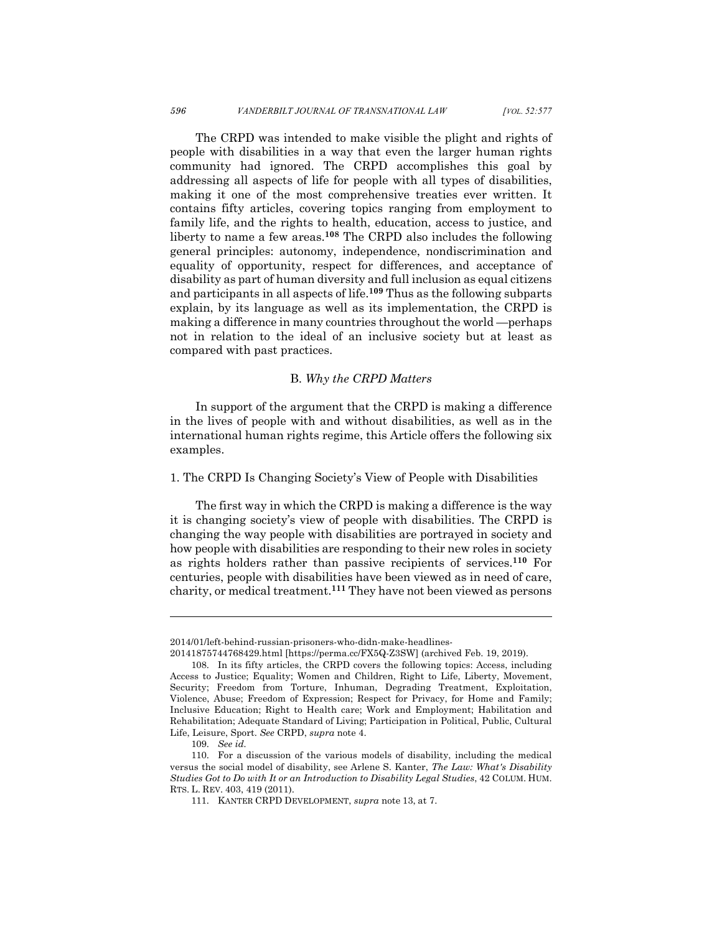The CRPD was intended to make visible the plight and rights of people with disabilities in a way that even the larger human rights community had ignored. The CRPD accomplishes this goal by addressing all aspects of life for people with all types of disabilities, making it one of the most comprehensive treaties ever written. It contains fifty articles, covering topics ranging from employment to family life, and the rights to health, education, access to justice, and liberty to name a few areas. **<sup>108</sup>** The CRPD also includes the following general principles: autonomy, independence, nondiscrimination and equality of opportunity, respect for differences, and acceptance of disability as part of human diversity and full inclusion as equal citizens and participants in all aspects of life.**<sup>109</sup>** Thus as the following subparts explain, by its language as well as its implementation, the CRPD is making a difference in many countries throughout the world —perhaps not in relation to the ideal of an inclusive society but at least as compared with past practices.

#### B. *Why the CRPD Matters*

In support of the argument that the CRPD is making a difference in the lives of people with and without disabilities, as well as in the international human rights regime, this Article offers the following six examples.

1. The CRPD Is Changing Society's View of People with Disabilities

The first way in which the CRPD is making a difference is the way it is changing society's view of people with disabilities. The CRPD is changing the way people with disabilities are portrayed in society and how people with disabilities are responding to their new roles in society as rights holders rather than passive recipients of services.**<sup>110</sup>** For centuries, people with disabilities have been viewed as in need of care, charity, or medical treatment.**<sup>111</sup>** They have not been viewed as persons

<sup>2014/01/</sup>left-behind-russian-prisoners-who-didn-make-headlines-

<sup>20141875744768429.</sup>html [https://perma.cc/FX5Q-Z3SW] (archived Feb. 19, 2019).

<sup>108.</sup> In its fifty articles, the CRPD covers the following topics: Access, including Access to Justice; Equality; Women and Children, Right to Life, Liberty, Movement, Security; Freedom from Torture, Inhuman, Degrading Treatment, Exploitation, Violence, Abuse; Freedom of Expression; Respect for Privacy, for Home and Family; Inclusive Education; Right to Health care; Work and Employment; Habilitation and Rehabilitation; Adequate Standard of Living; Participation in Political, Public, Cultural Life, Leisure, Sport. *See* CRPD, *supra* note 4.

<sup>109.</sup> *See id.*

<sup>110.</sup> For a discussion of the various models of disability, including the medical versus the social model of disability, see Arlene S. Kanter, *The Law: What's Disability Studies Got to Do with It or an Introduction to Disability Legal Studies*, 42 COLUM. HUM. RTS. L. REV. 403, 419 (2011).

<sup>111.</sup> KANTER CRPD DEVELOPMENT, *supra* note 13, at 7.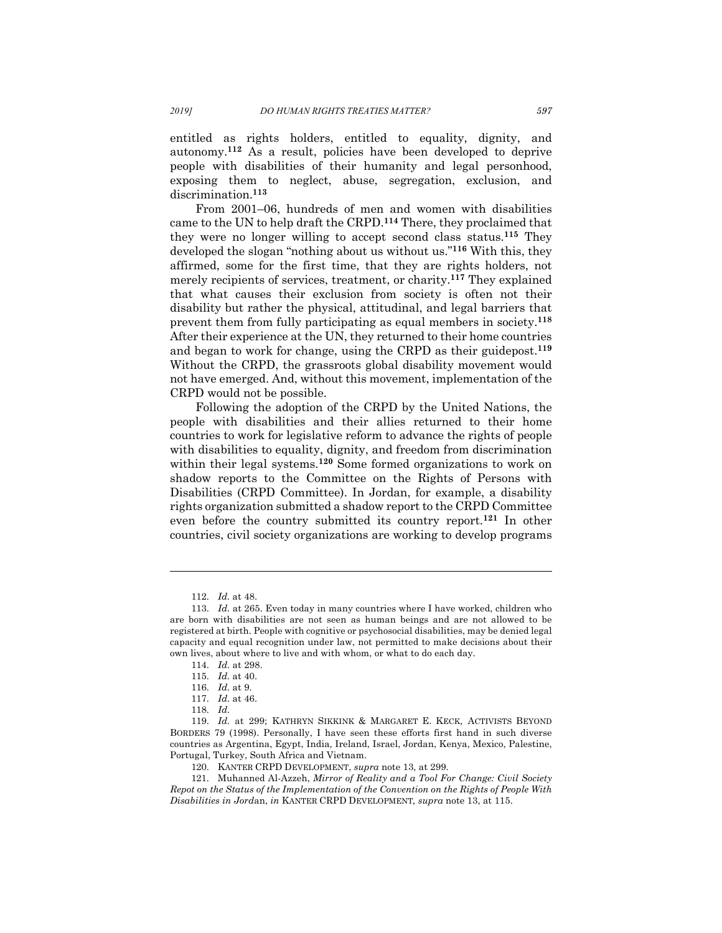entitled as rights holders, entitled to equality, dignity, and autonomy.**<sup>112</sup>** As a result, policies have been developed to deprive people with disabilities of their humanity and legal personhood, exposing them to neglect, abuse, segregation, exclusion, and discrimination.**<sup>113</sup>**

From 2001–06, hundreds of men and women with disabilities came to the UN to help draft the CRPD.**<sup>114</sup>** There, they proclaimed that they were no longer willing to accept second class status.**<sup>115</sup>** They developed the slogan "nothing about us without us."**<sup>116</sup>** With this, they affirmed, some for the first time, that they are rights holders, not merely recipients of services, treatment, or charity.**<sup>117</sup>** They explained that what causes their exclusion from society is often not their disability but rather the physical, attitudinal, and legal barriers that prevent them from fully participating as equal members in society.**<sup>118</sup>** After their experience at the UN, they returned to their home countries and began to work for change, using the CRPD as their guidepost.**<sup>119</sup>** Without the CRPD, the grassroots global disability movement would not have emerged. And, without this movement, implementation of the CRPD would not be possible.

Following the adoption of the CRPD by the United Nations, the people with disabilities and their allies returned to their home countries to work for legislative reform to advance the rights of people with disabilities to equality, dignity, and freedom from discrimination within their legal systems. **<sup>120</sup>** Some formed organizations to work on shadow reports to the Committee on the Rights of Persons with Disabilities (CRPD Committee). In Jordan, for example, a disability rights organization submitted a shadow report to the CRPD Committee even before the country submitted its country report.**<sup>121</sup>** In other countries, civil society organizations are working to develop programs

<sup>112.</sup> *Id.* at 48.

<sup>113.</sup> *Id.* at 265. Even today in many countries where I have worked, children who are born with disabilities are not seen as human beings and are not allowed to be registered at birth. People with cognitive or psychosocial disabilities, may be denied legal capacity and equal recognition under law, not permitted to make decisions about their own lives, about where to live and with whom, or what to do each day.

<sup>114.</sup> *Id.* at 298.

<sup>115.</sup> *Id.* at 40.

<sup>116.</sup> *Id.* at 9.

<sup>117.</sup> *Id.* at 46.

<sup>118.</sup> *Id.*

<sup>119.</sup> *Id.* at 299; KATHRYN SIKKINK & MARGARET E. KECK, ACTIVISTS BEYOND BORDERS 79 (1998). Personally, I have seen these efforts first hand in such diverse countries as Argentina, Egypt, India, Ireland, Israel, Jordan, Kenya, Mexico, Palestine, Portugal, Turkey, South Africa and Vietnam.

<sup>120.</sup> KANTER CRPD DEVELOPMENT, *supra* note 13, at 299.

<sup>121.</sup> Muhanned Al-Azzeh, *Mirror of Reality and a Tool For Change: Civil Society Repot on the Status of the Implementation of the Convention on the Rights of People With Disabilities in Jord*an, *in* KANTER CRPD DEVELOPMENT*, supra* note 13, at 115.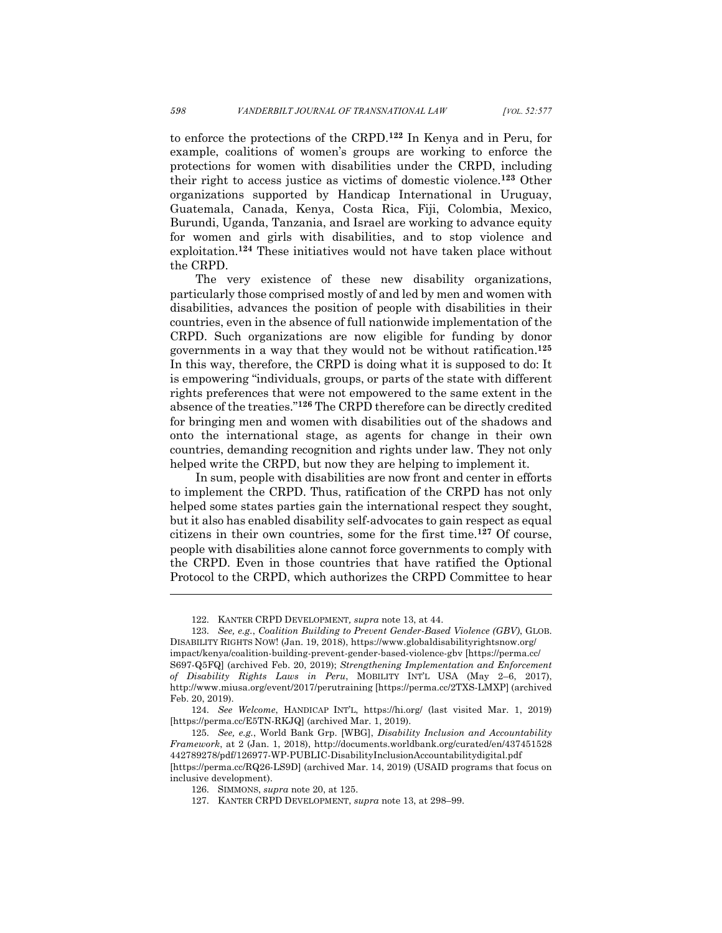to enforce the protections of the CRPD.**<sup>122</sup>** In Kenya and in Peru, for example, coalitions of women's groups are working to enforce the protections for women with disabilities under the CRPD, including their right to access justice as victims of domestic violence.**<sup>123</sup>** Other organizations supported by Handicap International in Uruguay, Guatemala, Canada, Kenya, Costa Rica, Fiji, Colombia, Mexico, Burundi, Uganda, Tanzania, and Israel are working to advance equity for women and girls with disabilities, and to stop violence and exploitation.**<sup>124</sup>** These initiatives would not have taken place without the CRPD.

The very existence of these new disability organizations, particularly those comprised mostly of and led by men and women with disabilities, advances the position of people with disabilities in their countries, even in the absence of full nationwide implementation of the CRPD. Such organizations are now eligible for funding by donor governments in a way that they would not be without ratification.**<sup>125</sup>** In this way, therefore, the CRPD is doing what it is supposed to do: It is empowering "individuals, groups, or parts of the state with different rights preferences that were not empowered to the same extent in the absence of the treaties."**<sup>126</sup>** The CRPD therefore can be directly credited for bringing men and women with disabilities out of the shadows and onto the international stage, as agents for change in their own countries, demanding recognition and rights under law. They not only helped write the CRPD, but now they are helping to implement it.

In sum, people with disabilities are now front and center in efforts to implement the CRPD. Thus, ratification of the CRPD has not only helped some states parties gain the international respect they sought, but it also has enabled disability self-advocates to gain respect as equal citizens in their own countries, some for the first time. **<sup>127</sup>** Of course, people with disabilities alone cannot force governments to comply with the CRPD. Even in those countries that have ratified the Optional Protocol to the CRPD, which authorizes the CRPD Committee to hear

<sup>122.</sup> KANTER CRPD DEVELOPMENT*, supra* note 13, at 44.

<sup>123.</sup> *See, e.g.*, *Coalition Building to Prevent Gender-Based Violence (GBV)*, GLOB. DISABILITY RIGHTS NOW! (Jan. 19, 2018), https://www.globaldisabilityrightsnow.org/ impact/kenya/coalition-building-prevent-gender-based-violence-gbv [https://perma.cc/ S697-Q5FQ] (archived Feb. 20, 2019); *Strengthening Implementation and Enforcement of Disability Rights Laws in Peru*, MOBILITY INT'L USA (May 2–6, 2017), http://www.miusa.org/event/2017/perutraining [https://perma.cc/2TXS-LMXP] (archived Feb. 20, 2019).

<sup>124.</sup> *See Welcome*, HANDICAP INT'L, https://hi.org/ (last visited Mar. 1, 2019) [https://perma.cc/E5TN-RKJQ] (archived Mar. 1, 2019).

<sup>125.</sup> *See, e.g.*, World Bank Grp. [WBG], *Disability Inclusion and Accountability Framework*, at 2 (Jan. 1, 2018), http://documents.worldbank.org/curated/en/437451528 442789278/pdf/126977-WP-PUBLIC-DisabilityInclusionAccountabilitydigital.pdf [https://perma.cc/RQ26-LS9D] (archived Mar. 14, 2019) (USAID programs that focus on

inclusive development). 126. SIMMONS, *supra* note 20, at 125.

<sup>127.</sup> KANTER CRPD DEVELOPMENT, *supra* note 13, at 298–99.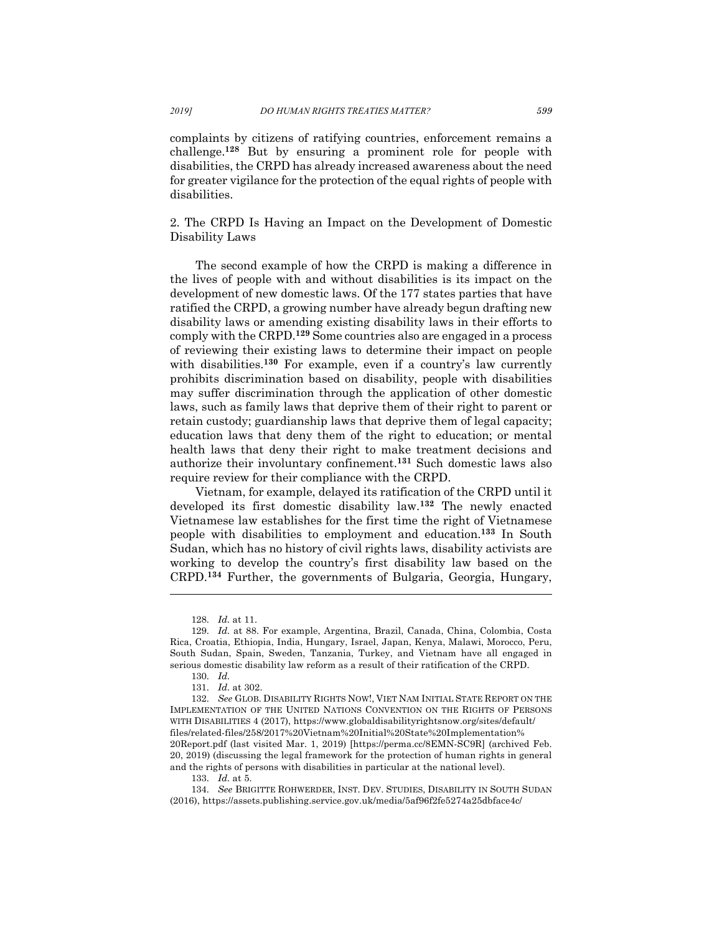complaints by citizens of ratifying countries, enforcement remains a challenge.**<sup>128</sup>** But by ensuring a prominent role for people with disabilities, the CRPD has already increased awareness about the need for greater vigilance for the protection of the equal rights of people with disabilities.

2. The CRPD Is Having an Impact on the Development of Domestic Disability Laws

The second example of how the CRPD is making a difference in the lives of people with and without disabilities is its impact on the development of new domestic laws. Of the 177 states parties that have ratified the CRPD, a growing number have already begun drafting new disability laws or amending existing disability laws in their efforts to comply with the CRPD.**<sup>129</sup>** Some countries also are engaged in a process of reviewing their existing laws to determine their impact on people with disabilities.<sup>130</sup> For example, even if a country's law currently prohibits discrimination based on disability, people with disabilities may suffer discrimination through the application of other domestic laws, such as family laws that deprive them of their right to parent or retain custody; guardianship laws that deprive them of legal capacity; education laws that deny them of the right to education; or mental health laws that deny their right to make treatment decisions and authorize their involuntary confinement.**<sup>131</sup>** Such domestic laws also require review for their compliance with the CRPD.

Vietnam, for example, delayed its ratification of the CRPD until it developed its first domestic disability law.**<sup>132</sup>** The newly enacted Vietnamese law establishes for the first time the right of Vietnamese people with disabilities to employment and education.**<sup>133</sup>** In South Sudan, which has no history of civil rights laws, disability activists are working to develop the country's first disability law based on the CRPD.**<sup>134</sup>** Further, the governments of Bulgaria, Georgia, Hungary,

<sup>128.</sup> *Id.* at 11.

<sup>129.</sup> *Id.* at 88. For example, Argentina, Brazil, Canada, China, Colombia, Costa Rica, Croatia, Ethiopia, India, Hungary, Israel, Japan, Kenya, Malawi, Morocco, Peru, South Sudan, Spain, Sweden, Tanzania, Turkey, and Vietnam have all engaged in serious domestic disability law reform as a result of their ratification of the CRPD.

<sup>130.</sup> *Id.*

<sup>131.</sup> *Id.* at 302.

<sup>132.</sup> *See* GLOB. DISABILITY RIGHTS NOW!, VIET NAM INITIAL STATE REPORT ON THE IMPLEMENTATION OF THE UNITED NATIONS CONVENTION ON THE RIGHTS OF PERSONS WITH DISABILITIES 4 (2017), https://www.globaldisabilityrightsnow.org/sites/default/ files/related-files/258/2017%20Vietnam%20Initial%20State%20Implementation% 20Report.pdf (last visited Mar. 1, 2019) [https://perma.cc/8EMN-SC9R] (archived Feb. 20, 2019) (discussing the legal framework for the protection of human rights in general and the rights of persons with disabilities in particular at the national level).

<sup>133.</sup> *Id.* at 5.

<sup>134.</sup> *See* BRIGITTE ROHWERDER, INST. DEV. STUDIES, DISABILITY IN SOUTH SUDAN (2016), https://assets.publishing.service.gov.uk/media/5af96f2fe5274a25dbface4c/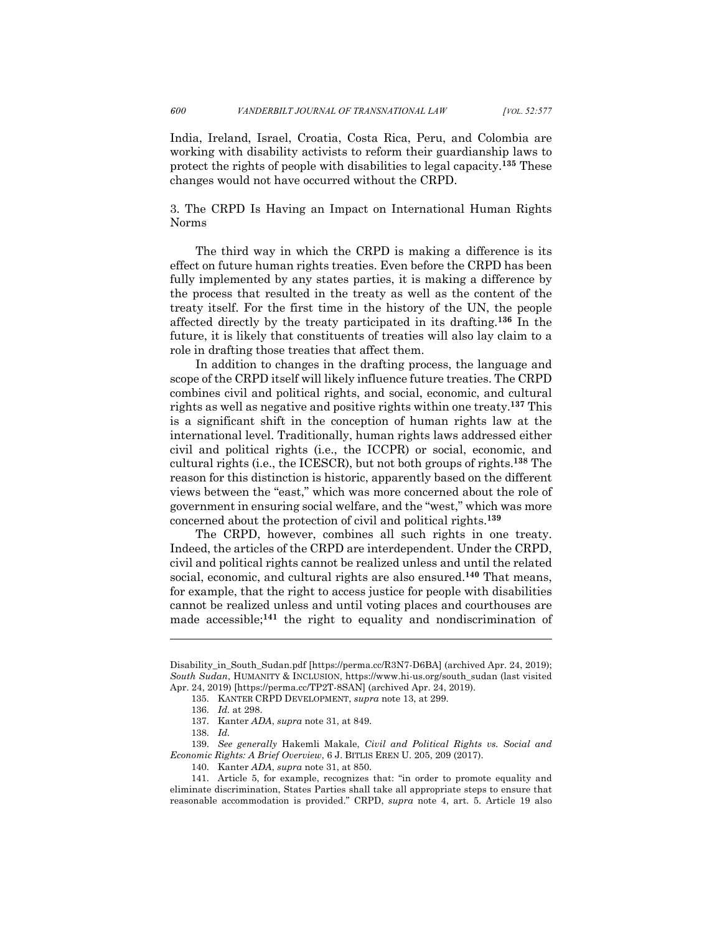India, Ireland, Israel, Croatia, Costa Rica, Peru, and Colombia are working with disability activists to reform their guardianship laws to protect the rights of people with disabilities to legal capacity.**<sup>135</sup>** These changes would not have occurred without the CRPD.

3. The CRPD Is Having an Impact on International Human Rights Norms

The third way in which the CRPD is making a difference is its effect on future human rights treaties. Even before the CRPD has been fully implemented by any states parties, it is making a difference by the process that resulted in the treaty as well as the content of the treaty itself. For the first time in the history of the UN, the people affected directly by the treaty participated in its drafting.**<sup>136</sup>** In the future, it is likely that constituents of treaties will also lay claim to a role in drafting those treaties that affect them.

In addition to changes in the drafting process, the language and scope of the CRPD itself will likely influence future treaties. The CRPD combines civil and political rights, and social, economic, and cultural rights as well as negative and positive rights within one treaty.**<sup>137</sup>** This is a significant shift in the conception of human rights law at the international level. Traditionally, human rights laws addressed either civil and political rights (i.e., the ICCPR) or social, economic, and cultural rights (i.e., the ICESCR), but not both groups of rights.**<sup>138</sup>** The reason for this distinction is historic, apparently based on the different views between the "east," which was more concerned about the role of government in ensuring social welfare, and the "west," which was more concerned about the protection of civil and political rights.**<sup>139</sup>**

The CRPD, however, combines all such rights in one treaty. Indeed, the articles of the CRPD are interdependent. Under the CRPD, civil and political rights cannot be realized unless and until the related social, economic, and cultural rights are also ensured.**<sup>140</sup>** That means, for example, that the right to access justice for people with disabilities cannot be realized unless and until voting places and courthouses are made accessible;**<sup>141</sup>** the right to equality and nondiscrimination of

Disability\_in\_South\_Sudan.pdf [https://perma.cc/R3N7-D6BA] (archived Apr. 24, 2019); *South Sudan*, HUMANITY & INCLUSION, https://www.hi-us.org/south\_sudan (last visited Apr. 24, 2019) [https://perma.cc/TP2T-8SAN] (archived Apr. 24, 2019).

<sup>135.</sup> KANTER CRPD DEVELOPMENT, *supra* note 13, at 299.

<sup>136.</sup> *Id.* at 298.

<sup>137.</sup> Kanter *ADA*, *supra* note 31, at 849.

<sup>138.</sup> *Id.*

<sup>139.</sup> *See generally* Hakemli Makale, *Civil and Political Rights vs. Social and Economic Rights: A Brief Overview*, 6 J. BITLIS EREN U. 205, 209 (2017).

<sup>140.</sup> Kanter *ADA*, *supra* note 31, at 850.

<sup>141.</sup> Article 5, for example, recognizes that: "in order to promote equality and eliminate discrimination, States Parties shall take all appropriate steps to ensure that reasonable accommodation is provided." CRPD, *supra* note 4, art. 5. Article 19 also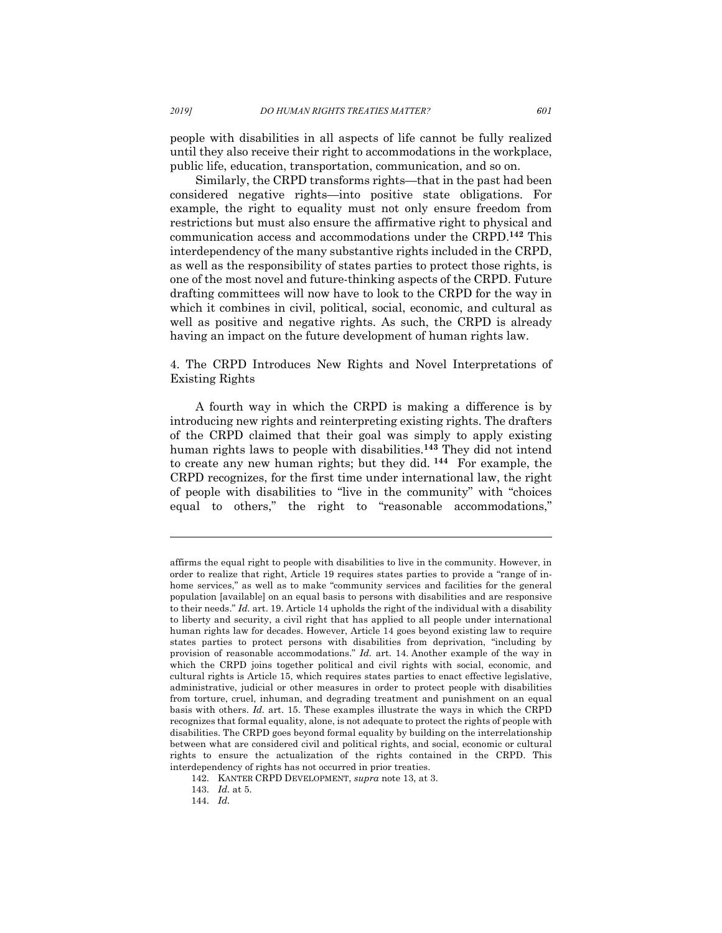people with disabilities in all aspects of life cannot be fully realized until they also receive their right to accommodations in the workplace, public life, education, transportation, communication, and so on.

Similarly, the CRPD transforms rights—that in the past had been considered negative rights—into positive state obligations. For example, the right to equality must not only ensure freedom from restrictions but must also ensure the affirmative right to physical and communication access and accommodations under the CRPD.**<sup>142</sup>** This interdependency of the many substantive rights included in the CRPD, as well as the responsibility of states parties to protect those rights, is one of the most novel and future-thinking aspects of the CRPD. Future drafting committees will now have to look to the CRPD for the way in which it combines in civil, political, social, economic, and cultural as well as positive and negative rights. As such, the CRPD is already having an impact on the future development of human rights law.

4. The CRPD Introduces New Rights and Novel Interpretations of Existing Rights

A fourth way in which the CRPD is making a difference is by introducing new rights and reinterpreting existing rights. The drafters of the CRPD claimed that their goal was simply to apply existing human rights laws to people with disabilities.**<sup>143</sup>** They did not intend to create any new human rights; but they did. **<sup>144</sup>** For example, the CRPD recognizes, for the first time under international law, the right of people with disabilities to "live in the community" with "choices equal to others," the right to "reasonable accommodations,"

affirms the equal right to people with disabilities to live in the community. However, in order to realize that right, Article 19 requires states parties to provide a "range of inhome services," as well as to make "community services and facilities for the general population [available] on an equal basis to persons with disabilities and are responsive to their needs." *Id.* art. 19. Article 14 upholds the right of the individual with a disability to liberty and security, a civil right that has applied to all people under international human rights law for decades. However, Article 14 goes beyond existing law to require states parties to protect persons with disabilities from deprivation, "including by provision of reasonable accommodations." *Id.* art. 14. Another example of the way in which the CRPD joins together political and civil rights with social, economic, and cultural rights is Article 15, which requires states parties to enact effective legislative, administrative, judicial or other measures in order to protect people with disabilities from torture, cruel, inhuman, and degrading treatment and punishment on an equal basis with others. *Id.* art. 15. These examples illustrate the ways in which the CRPD recognizes that formal equality, alone, is not adequate to protect the rights of people with disabilities. The CRPD goes beyond formal equality by building on the interrelationship between what are considered civil and political rights, and social, economic or cultural rights to ensure the actualization of the rights contained in the CRPD. This interdependency of rights has not occurred in prior treaties.

<sup>142.</sup> KANTER CRPD DEVELOPMENT, *supra* note 13, at 3.

<sup>143.</sup> *Id.* at 5.

<sup>144.</sup> *Id.*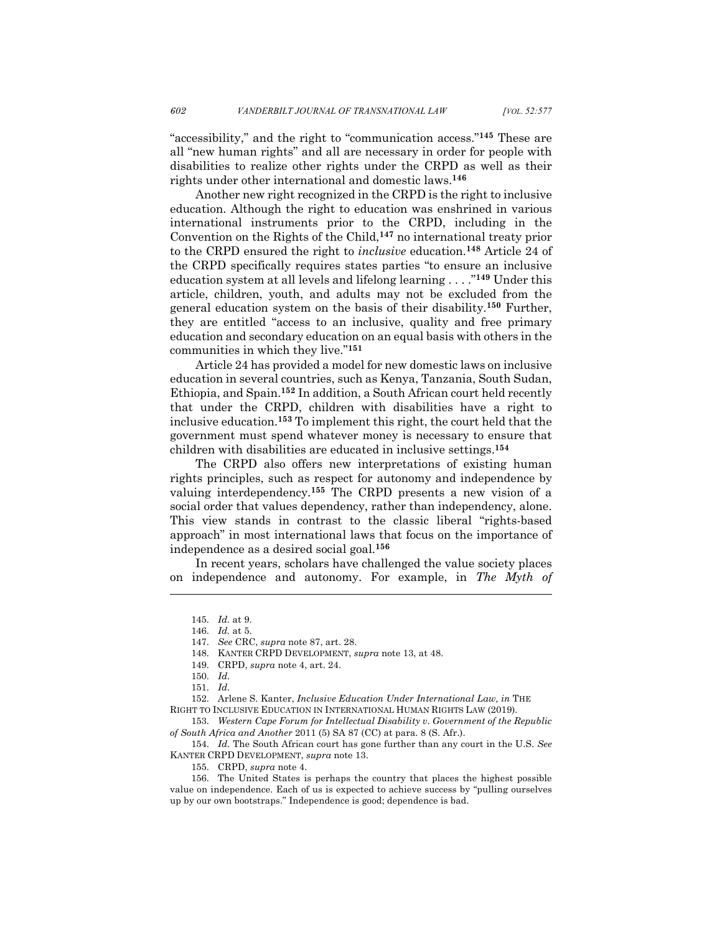"accessibility," and the right to "communication access."**<sup>145</sup>** These are all "new human rights" and all are necessary in order for people with disabilities to realize other rights under the CRPD as well as their rights under other international and domestic laws.**<sup>146</sup>**

Another new right recognized in the CRPD is the right to inclusive education. Although the right to education was enshrined in various international instruments prior to the CRPD, including in the Convention on the Rights of the Child,**<sup>147</sup>** no international treaty prior to the CRPD ensured the right to *inclusive* education.**<sup>148</sup>** Article 24 of the CRPD specifically requires states parties "to ensure an inclusive education system at all levels and lifelong learning . . . ."**<sup>149</sup>** Under this article, children, youth, and adults may not be excluded from the general education system on the basis of their disability.**<sup>150</sup>** Further, they are entitled "access to an inclusive, quality and free primary education and secondary education on an equal basis with others in the communities in which they live."**<sup>151</sup>**

Article 24 has provided a model for new domestic laws on inclusive education in several countries, such as Kenya, Tanzania, South Sudan, Ethiopia, and Spain.**<sup>152</sup>** In addition, a South African court held recently that under the CRPD, children with disabilities have a right to inclusive education.**<sup>153</sup>** To implement this right, the court held that the government must spend whatever money is necessary to ensure that children with disabilities are educated in inclusive settings.**<sup>154</sup>**

The CRPD also offers new interpretations of existing human rights principles, such as respect for autonomy and independence by valuing interdependency.**<sup>155</sup>** The CRPD presents a new vision of a social order that values dependency, rather than independency, alone. This view stands in contrast to the classic liberal "rights-based approach" in most international laws that focus on the importance of independence as a desired social goal.**<sup>156</sup>**

In recent years, scholars have challenged the value society places on independence and autonomy. For example, in *The Myth of* 

l

152. Arlene S. Kanter, *Inclusive Education Under International Law, in* THE RIGHT TO INCLUSIVE EDUCATION IN INTERNATIONAL HUMAN RIGHTS LAW (2019).

153. *Western Cape Forum for Intellectual Disability v. Government of the Republic of South Africa and Another* 2011 (5) SA 87 (CC) at para. 8 (S. Afr.).

154. *Id.* The South African court has gone further than any court in the U.S. *See* KANTER CRPD DEVELOPMENT, *supra* note 13.

155. CRPD, *supra* note 4.

156. The United States is perhaps the country that places the highest possible value on independence. Each of us is expected to achieve success by "pulling ourselves up by our own bootstraps." Independence is good; dependence is bad.

<sup>145.</sup> *Id.* at 9.

<sup>146.</sup> *Id.* at 5.

<sup>147.</sup> *See* CRC, *supra* note 87, art. 28.

<sup>148.</sup> KANTER CRPD DEVELOPMENT, *supra* note 13, at 48.

<sup>149.</sup> CRPD, *supra* note 4, art. 24.

<sup>150.</sup> *Id.*

<sup>151.</sup> *Id.*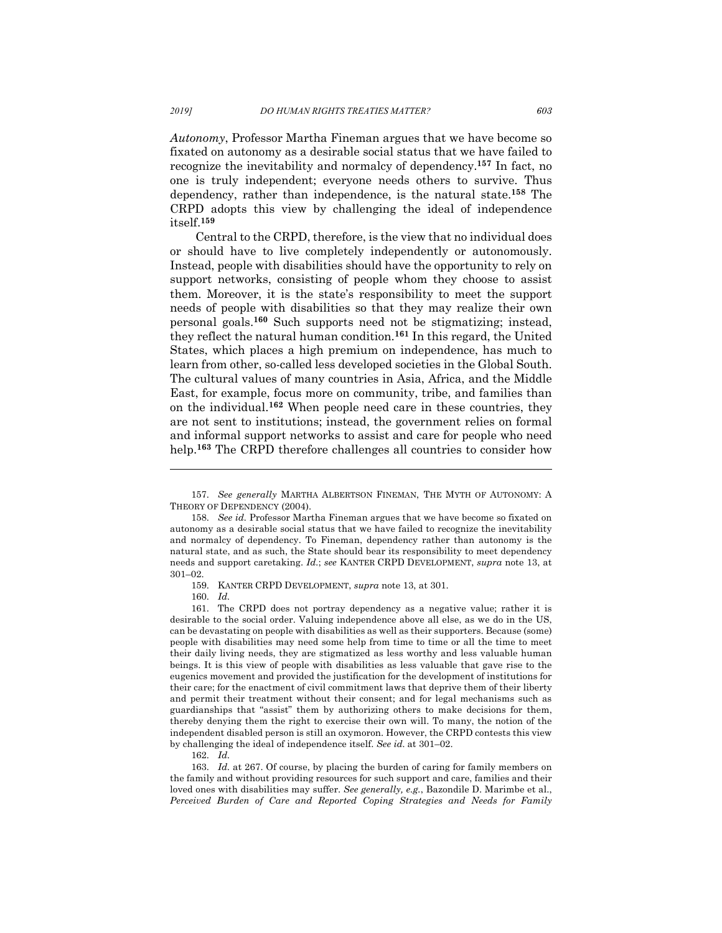*Autonomy*, Professor Martha Fineman argues that we have become so fixated on autonomy as a desirable social status that we have failed to recognize the inevitability and normalcy of dependency.**<sup>157</sup>** In fact, no one is truly independent; everyone needs others to survive. Thus dependency, rather than independence, is the natural state.**<sup>158</sup>** The CRPD adopts this view by challenging the ideal of independence itself.**<sup>159</sup>**

Central to the CRPD, therefore, is the view that no individual does or should have to live completely independently or autonomously. Instead, people with disabilities should have the opportunity to rely on support networks, consisting of people whom they choose to assist them. Moreover, it is the state's responsibility to meet the support needs of people with disabilities so that they may realize their own personal goals. **<sup>160</sup>** Such supports need not be stigmatizing; instead, they reflect the natural human condition.**<sup>161</sup>** In this regard, the United States, which places a high premium on independence, has much to learn from other, so-called less developed societies in the Global South. The cultural values of many countries in Asia, Africa, and the Middle East, for example, focus more on community, tribe, and families than on the individual.**<sup>162</sup>** When people need care in these countries, they are not sent to institutions; instead, the government relies on formal and informal support networks to assist and care for people who need help.**<sup>163</sup>** The CRPD therefore challenges all countries to consider how

159. KANTER CRPD DEVELOPMENT, *supra* note 13, at 301.

160. *Id.*

l

161. The CRPD does not portray dependency as a negative value; rather it is desirable to the social order. Valuing independence above all else, as we do in the US, can be devastating on people with disabilities as well as their supporters. Because (some) people with disabilities may need some help from time to time or all the time to meet their daily living needs, they are stigmatized as less worthy and less valuable human beings. It is this view of people with disabilities as less valuable that gave rise to the eugenics movement and provided the justification for the development of institutions for their care; for the enactment of civil commitment laws that deprive them of their liberty and permit their treatment without their consent; and for legal mechanisms such as guardianships that "assist" them by authorizing others to make decisions for them, thereby denying them the right to exercise their own will. To many, the notion of the independent disabled person is still an oxymoron. However, the CRPD contests this view by challenging the ideal of independence itself. *See id.* at 301–02.

162. *Id.*

163. *Id.* at 267. Of course, by placing the burden of caring for family members on the family and without providing resources for such support and care, families and their loved ones with disabilities may suffer. *See generally, e.g.*, Bazondile D. Marimbe et al., *Perceived Burden of Care and Reported Coping Strategies and Needs for Family* 

<sup>157.</sup> *See generally* MARTHA ALBERTSON FINEMAN, THE MYTH OF AUTONOMY: A THEORY OF DEPENDENCY (2004).

<sup>158.</sup> *See id.* Professor Martha Fineman argues that we have become so fixated on autonomy as a desirable social status that we have failed to recognize the inevitability and normalcy of dependency. To Fineman, dependency rather than autonomy is the natural state, and as such, the State should bear its responsibility to meet dependency needs and support caretaking. *Id.*; *see* KANTER CRPD DEVELOPMENT, *supra* note 13, at 301–02.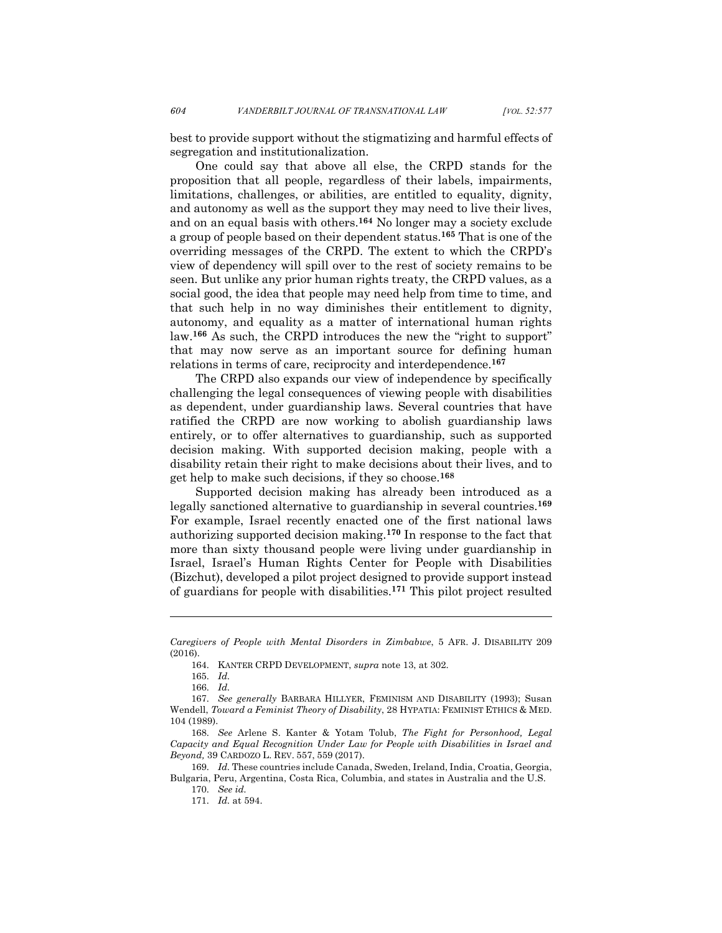best to provide support without the stigmatizing and harmful effects of segregation and institutionalization.

One could say that above all else, the CRPD stands for the proposition that all people, regardless of their labels, impairments, limitations, challenges, or abilities, are entitled to equality, dignity, and autonomy as well as the support they may need to live their lives, and on an equal basis with others.**<sup>164</sup>** No longer may a society exclude a group of people based on their dependent status. **<sup>165</sup>** That is one of the overriding messages of the CRPD. The extent to which the CRPD's view of dependency will spill over to the rest of society remains to be seen. But unlike any prior human rights treaty, the CRPD values, as a social good, the idea that people may need help from time to time, and that such help in no way diminishes their entitlement to dignity, autonomy, and equality as a matter of international human rights law.**<sup>166</sup>** As such, the CRPD introduces the new the "right to support" that may now serve as an important source for defining human relations in terms of care, reciprocity and interdependence.**<sup>167</sup>**

The CRPD also expands our view of independence by specifically challenging the legal consequences of viewing people with disabilities as dependent, under guardianship laws. Several countries that have ratified the CRPD are now working to abolish guardianship laws entirely, or to offer alternatives to guardianship, such as supported decision making. With supported decision making, people with a disability retain their right to make decisions about their lives, and to get help to make such decisions, if they so choose.**<sup>168</sup>**

Supported decision making has already been introduced as a legally sanctioned alternative to guardianship in several countries.**<sup>169</sup>** For example, Israel recently enacted one of the first national laws authorizing supported decision making.**<sup>170</sup>** In response to the fact that more than sixty thousand people were living under guardianship in Israel, Israel's Human Rights Center for People with Disabilities (Bizchut), developed a pilot project designed to provide support instead of guardians for people with disabilities. **<sup>171</sup>** This pilot project resulted

165. *Id.*

l

166. *Id.*

*Caregivers of People with Mental Disorders in Zimbabwe*, 5 AFR. J. DISABILITY 209 (2016).

<sup>164.</sup> KANTER CRPD DEVELOPMENT, *supra* note 13, at 302.

<sup>167.</sup> *See generally* BARBARA HILLYER, FEMINISM AND DISABILITY (1993); Susan Wendell, *Toward a Feminist Theory of Disability*, 28 HYPATIA: FEMINIST ETHICS & MED. 104 (1989).

<sup>168.</sup> *See* Arlene S. Kanter & Yotam Tolub, *The Fight for Personhood, Legal Capacity and Equal Recognition Under Law for People with Disabilities in Israel and Beyond,* 39 CARDOZO L. REV. 557, 559 (2017).

<sup>169.</sup> *Id.* These countries include Canada, Sweden, Ireland, India, Croatia, Georgia, Bulgaria, Peru, Argentina, Costa Rica, Columbia, and states in Australia and the U.S.

<sup>170.</sup> *See id.*

<sup>171.</sup> *Id.* at 594.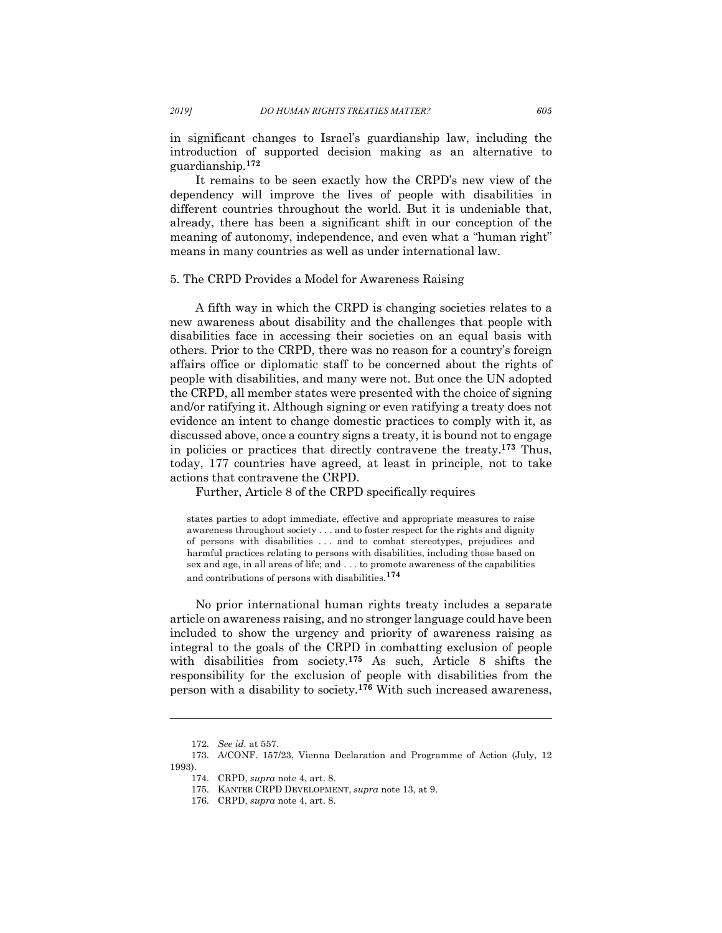in significant changes to Israel's guardianship law, including the introduction of supported decision making as an alternative to guardianship. **172**

It remains to be seen exactly how the CRPD's new view of the dependency will improve the lives of people with disabilities in different countries throughout the world. But it is undeniable that, already, there has been a significant shift in our conception of the meaning of autonomy, independence, and even what a "human right" means in many countries as well as under international law.

#### 5. The CRPD Provides a Model for Awareness Raising

A fifth way in which the CRPD is changing societies relates to a new awareness about disability and the challenges that people with disabilities face in accessing their societies on an equal basis with others. Prior to the CRPD, there was no reason for a country's foreign affairs office or diplomatic staff to be concerned about the rights of people with disabilities, and many were not. But once the UN adopted the CRPD, all member states were presented with the choice of signing and/or ratifying it. Although signing or even ratifying a treaty does not evidence an intent to change domestic practices to comply with it, as discussed above, once a country signs a treaty, it is bound not to engage in policies or practices that directly contravene the treaty.**<sup>173</sup>** Thus, today, 177 countries have agreed, at least in principle, not to take actions that contravene the CRPD.

Further, Article 8 of the CRPD specifically requires

states parties to adopt immediate, effective and appropriate measures to raise awareness throughout society . . . and to foster respect for the rights and dignity of persons with disabilities . . . and to combat stereotypes, prejudices and harmful practices relating to persons with disabilities, including those based on sex and age, in all areas of life; and  $\ldots$  to promote awareness of the capabilities and contributions of persons with disabilities.**<sup>174</sup>**

No prior international human rights treaty includes a separate article on awareness raising, and no stronger language could have been included to show the urgency and priority of awareness raising as integral to the goals of the CRPD in combatting exclusion of people with disabilities from society.**<sup>175</sup>** As such, Article 8 shifts the responsibility for the exclusion of people with disabilities from the person with a disability to society.**<sup>176</sup>** With such increased awareness,

<sup>172.</sup> *See id.* at 557.

<sup>173.</sup> A/CONF. 157/23, Vienna Declaration and Programme of Action (July, 12 1993).

<sup>174.</sup> CRPD, *supra* note 4, art. 8.

<sup>175.</sup> KANTER CRPD DEVELOPMENT, *supra* note 13, at 9.

<sup>176.</sup> CRPD, *supra* note 4, art. 8.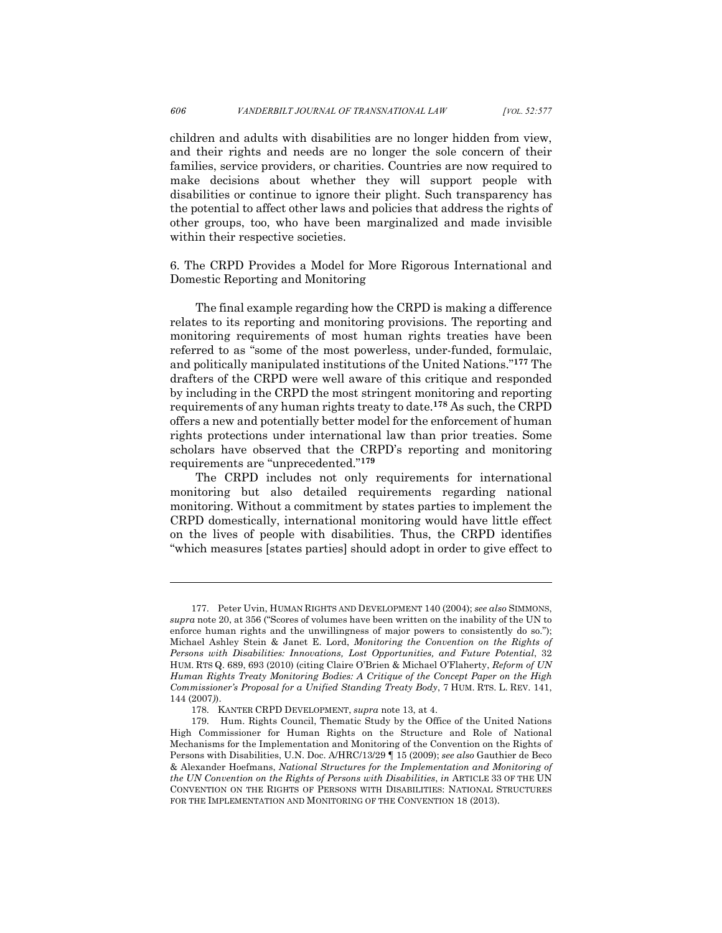children and adults with disabilities are no longer hidden from view, and their rights and needs are no longer the sole concern of their families, service providers, or charities. Countries are now required to make decisions about whether they will support people with disabilities or continue to ignore their plight. Such transparency has the potential to affect other laws and policies that address the rights of other groups, too, who have been marginalized and made invisible within their respective societies.

6. The CRPD Provides a Model for More Rigorous International and Domestic Reporting and Monitoring

The final example regarding how the CRPD is making a difference relates to its reporting and monitoring provisions. The reporting and monitoring requirements of most human rights treaties have been referred to as "some of the most powerless, under-funded, formulaic, and politically manipulated institutions of the United Nations."**<sup>177</sup>** The drafters of the CRPD were well aware of this critique and responded by including in the CRPD the most stringent monitoring and reporting requirements of any human rights treaty to date.**<sup>178</sup>** As such, the CRPD offers a new and potentially better model for the enforcement of human rights protections under international law than prior treaties. Some scholars have observed that the CRPD's reporting and monitoring requirements are "unprecedented."**<sup>179</sup>**

The CRPD includes not only requirements for international monitoring but also detailed requirements regarding national monitoring. Without a commitment by states parties to implement the CRPD domestically, international monitoring would have little effect on the lives of people with disabilities. Thus, the CRPD identifies "which measures [states parties] should adopt in order to give effect to

<sup>177.</sup> Peter Uvin, HUMAN RIGHTS AND DEVELOPMENT 140 (2004); *see also* SIMMONS, *supra* note 20, at 356 ("Scores of volumes have been written on the inability of the UN to enforce human rights and the unwillingness of major powers to consistently do so."); Michael Ashley Stein & Janet E. Lord, *Monitoring the Convention on the Rights of Persons with Disabilities: Innovations, Lost Opportunities, and Future Potential*, 32 HUM. RTS Q. 689, 693 (2010) (citing Claire O'Brien & Michael O'Flaherty, *Reform of UN Human Rights Treaty Monitoring Bodies: A Critique of the Concept Paper on the High Commissioner's Proposal for a Unified Standing Treaty Body*, 7 HUM. RTS. L. REV. 141, 144 (2007*)*).

<sup>178.</sup> KANTER CRPD DEVELOPMENT, *supra* note 13, at 4.

<sup>179.</sup> Hum. Rights Council, Thematic Study by the Office of the United Nations High Commissioner for Human Rights on the Structure and Role of National Mechanisms for the Implementation and Monitoring of the Convention on the Rights of Persons with Disabilities, U.N. Doc. A/HRC/13/29 ¶ 15 (2009); *see also* Gauthier de Beco & Alexander Hoefmans, *National Structures for the Implementation and Monitoring of the UN Convention on the Rights of Persons with Disabilities*, *in* ARTICLE 33 OF THE UN CONVENTION ON THE RIGHTS OF PERSONS WITH DISABILITIES: NATIONAL STRUCTURES FOR THE IMPLEMENTATION AND MONITORING OF THE CONVENTION 18 (2013).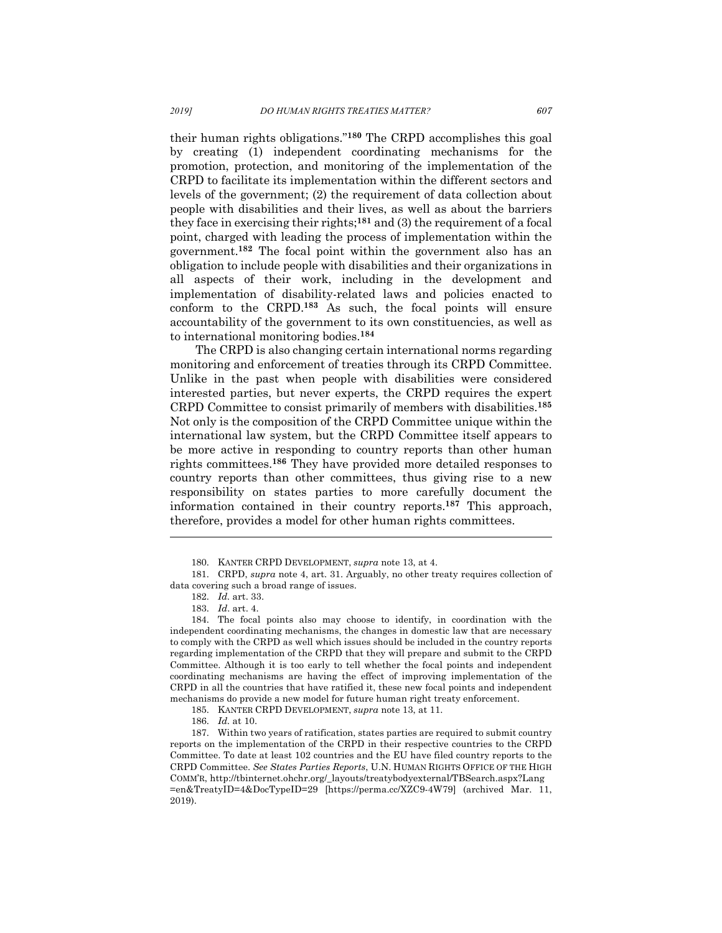their human rights obligations."**<sup>180</sup>** The CRPD accomplishes this goal by creating (1) independent coordinating mechanisms for the promotion, protection, and monitoring of the implementation of the CRPD to facilitate its implementation within the different sectors and levels of the government; (2) the requirement of data collection about people with disabilities and their lives, as well as about the barriers they face in exercising their rights; **<sup>181</sup>** and (3) the requirement of a focal point, charged with leading the process of implementation within the government.**<sup>182</sup>** The focal point within the government also has an obligation to include people with disabilities and their organizations in all aspects of their work, including in the development and implementation of disability-related laws and policies enacted to conform to the CRPD.**<sup>183</sup>** As such, the focal points will ensure accountability of the government to its own constituencies, as well as to international monitoring bodies.**<sup>184</sup>**

The CRPD is also changing certain international norms regarding monitoring and enforcement of treaties through its CRPD Committee. Unlike in the past when people with disabilities were considered interested parties, but never experts, the CRPD requires the expert CRPD Committee to consist primarily of members with disabilities.**<sup>185</sup>** Not only is the composition of the CRPD Committee unique within the international law system, but the CRPD Committee itself appears to be more active in responding to country reports than other human rights committees.**<sup>186</sup>** They have provided more detailed responses to country reports than other committees, thus giving rise to a new responsibility on states parties to more carefully document the information contained in their country reports.**<sup>187</sup>** This approach, therefore, provides a model for other human rights committees.

<sup>180.</sup> KANTER CRPD DEVELOPMENT, *supra* note 13, at 4.

<sup>181.</sup> CRPD, *supra* note 4, art. 31. Arguably, no other treaty requires collection of data covering such a broad range of issues.

<sup>182.</sup> *Id.* art. 33.

<sup>183.</sup> *Id*. art. 4.

<sup>184.</sup> The focal points also may choose to identify, in coordination with the independent coordinating mechanisms, the changes in domestic law that are necessary to comply with the CRPD as well which issues should be included in the country reports regarding implementation of the CRPD that they will prepare and submit to the CRPD Committee. Although it is too early to tell whether the focal points and independent coordinating mechanisms are having the effect of improving implementation of the CRPD in all the countries that have ratified it, these new focal points and independent mechanisms do provide a new model for future human right treaty enforcement.

<sup>185.</sup> KANTER CRPD DEVELOPMENT, *supra* note 13, at 11.

<sup>186.</sup> *Id.* at 10.

<sup>187.</sup> Within two years of ratification, states parties are required to submit country reports on the implementation of the CRPD in their respective countries to the CRPD Committee. To date at least 102 countries and the EU have filed country reports to the CRPD Committee. *See States Parties Reports*, U.N. HUMAN RIGHTS OFFICE OF THE HIGH COMM'R, http://tbinternet.ohchr.org/\_layouts/treatybodyexternal/TBSearch.aspx?Lang =en&TreatyID=4&DocTypeID=29 [https://perma.cc/XZC9-4W79] (archived Mar. 11, 2019).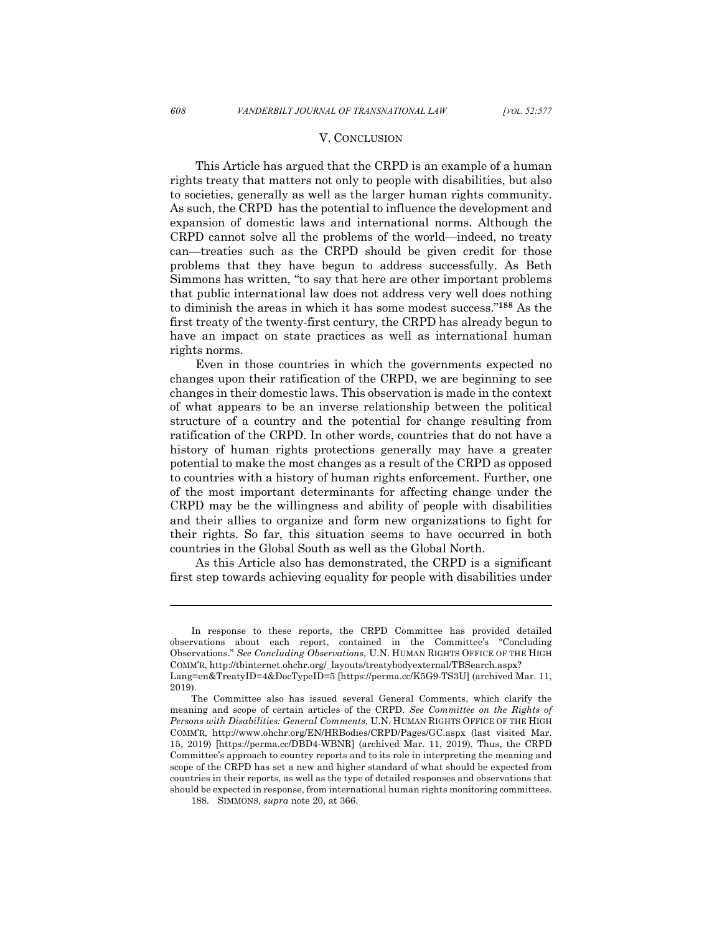#### V. CONCLUSION

This Article has argued that the CRPD is an example of a human rights treaty that matters not only to people with disabilities, but also to societies, generally as well as the larger human rights community. As such, the CRPD has the potential to influence the development and expansion of domestic laws and international norms. Although the CRPD cannot solve all the problems of the world—indeed, no treaty can—treaties such as the CRPD should be given credit for those problems that they have begun to address successfully. As Beth Simmons has written, "to say that here are other important problems that public international law does not address very well does nothing to diminish the areas in which it has some modest success."**<sup>188</sup>** As the first treaty of the twenty-first century, the CRPD has already begun to have an impact on state practices as well as international human rights norms.

Even in those countries in which the governments expected no changes upon their ratification of the CRPD, we are beginning to see changes in their domestic laws. This observation is made in the context of what appears to be an inverse relationship between the political structure of a country and the potential for change resulting from ratification of the CRPD. In other words, countries that do not have a history of human rights protections generally may have a greater potential to make the most changes as a result of the CRPD as opposed to countries with a history of human rights enforcement. Further, one of the most important determinants for affecting change under the CRPD may be the willingness and ability of people with disabilities and their allies to organize and form new organizations to fight for their rights. So far, this situation seems to have occurred in both countries in the Global South as well as the Global North.

As this Article also has demonstrated, the CRPD is a significant first step towards achieving equality for people with disabilities under

In response to these reports, the CRPD Committee has provided detailed observations about each report, contained in the Committee's "Concluding Observations." *See Concluding Observations,* U.N. HUMAN RIGHTS OFFICE OF THE HIGH COMM'R, http://tbinternet.ohchr.org/\_layouts/treatybodyexternal/TBSearch.aspx? Lang=en&TreatyID=4&DocTypeID=5 [https://perma.cc/K5G9-TS3U] (archived Mar. 11, 2019).

The Committee also has issued several General Comments, which clarify the meaning and scope of certain articles of the CRPD. *See Committee on the Rights of Persons with Disabilities: General Comments*, U.N. HUMAN RIGHTS OFFICE OF THE HIGH COMM'R, http://www.ohchr.org/EN/HRBodies/CRPD/Pages/GC.aspx (last visited Mar. 15, 2019) [https://perma.cc/DBD4-WBNR] (archived Mar. 11, 2019). Thus, the CRPD Committee's approach to country reports and to its role in interpreting the meaning and scope of the CRPD has set a new and higher standard of what should be expected from countries in their reports, as well as the type of detailed responses and observations that should be expected in response, from international human rights monitoring committees.

<sup>188.</sup> SIMMONS, *supra* note 20, at 366.